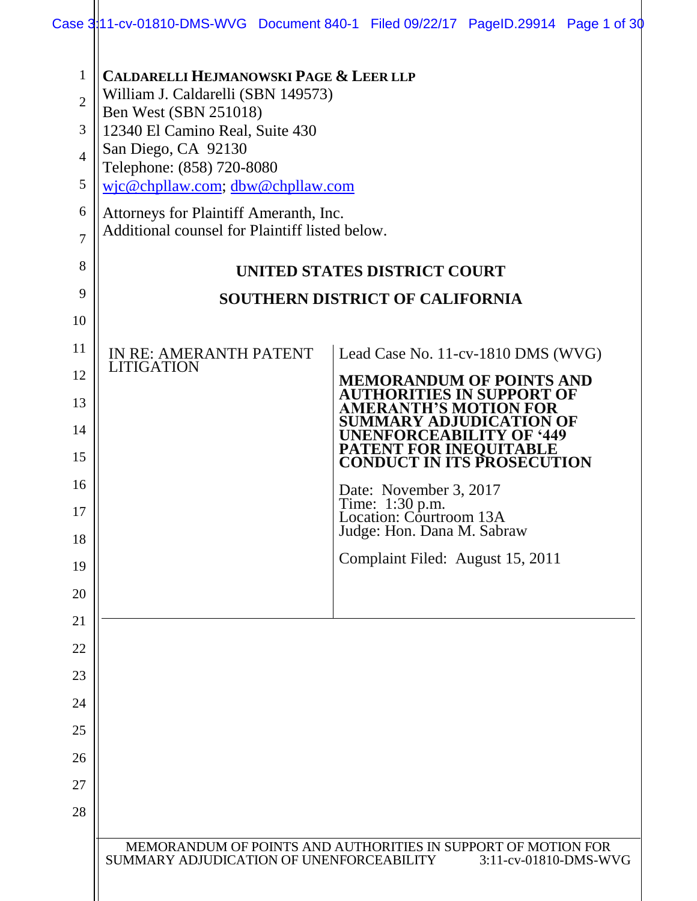| $\mathbf{1}$<br>$\overline{2}$<br>3<br>$\overline{4}$<br>5<br>6<br>7 | <b>CALDARELLI HEJMANOWSKI PAGE &amp; LEER LLP</b><br>William J. Caldarelli (SBN 149573)<br>Ben West (SBN 251018)<br>12340 El Camino Real, Suite 430<br>San Diego, CA 92130<br>Telephone: (858) 720-8080<br>wjc@chpllaw.com; dbw@chpllaw.com<br>Attorneys for Plaintiff Ameranth, Inc.<br>Additional counsel for Plaintiff listed below. |                                                                                        |
|----------------------------------------------------------------------|-----------------------------------------------------------------------------------------------------------------------------------------------------------------------------------------------------------------------------------------------------------------------------------------------------------------------------------------|----------------------------------------------------------------------------------------|
| 8                                                                    |                                                                                                                                                                                                                                                                                                                                         | UNITED STATES DISTRICT COURT                                                           |
| 9                                                                    |                                                                                                                                                                                                                                                                                                                                         | <b>SOUTHERN DISTRICT OF CALIFORNIA</b>                                                 |
| 10                                                                   |                                                                                                                                                                                                                                                                                                                                         |                                                                                        |
| 11                                                                   | <b>IN RE: AMERANTH PATENT</b>                                                                                                                                                                                                                                                                                                           | Lead Case No. 11-cv-1810 DMS (WVG)                                                     |
| 12                                                                   | <b>LITIGATION</b>                                                                                                                                                                                                                                                                                                                       | <b>MEMORANDUM OF POINTS AND</b>                                                        |
| 13                                                                   |                                                                                                                                                                                                                                                                                                                                         | AUTHORITIES IN SUPPORT OF<br>AMERANTH'S MOTION FOR                                     |
| 14                                                                   |                                                                                                                                                                                                                                                                                                                                         | SUMMARY ADJUDICATION OF<br><b>UNENFORCEABILITY OF '449</b>                             |
| 15                                                                   |                                                                                                                                                                                                                                                                                                                                         | <b>PATENT FOR INEQUITABLE</b><br><b>CONDUCT IN ITS PROSECUTION</b>                     |
| 16                                                                   |                                                                                                                                                                                                                                                                                                                                         | Date: November 3, 2017                                                                 |
| 17                                                                   |                                                                                                                                                                                                                                                                                                                                         | Time: 1:30 p.m.<br>Location: Courtroom 13A                                             |
| 18                                                                   |                                                                                                                                                                                                                                                                                                                                         | Judge: Hon. Dana M. Sabraw                                                             |
| 19                                                                   |                                                                                                                                                                                                                                                                                                                                         | Complaint Filed: August 15, 2011                                                       |
| 20                                                                   |                                                                                                                                                                                                                                                                                                                                         |                                                                                        |
| 21                                                                   |                                                                                                                                                                                                                                                                                                                                         |                                                                                        |
| 22                                                                   |                                                                                                                                                                                                                                                                                                                                         |                                                                                        |
| 23                                                                   |                                                                                                                                                                                                                                                                                                                                         |                                                                                        |
| 24                                                                   |                                                                                                                                                                                                                                                                                                                                         |                                                                                        |
| 25                                                                   |                                                                                                                                                                                                                                                                                                                                         |                                                                                        |
| 26                                                                   |                                                                                                                                                                                                                                                                                                                                         |                                                                                        |
| 27                                                                   |                                                                                                                                                                                                                                                                                                                                         |                                                                                        |
| 28                                                                   |                                                                                                                                                                                                                                                                                                                                         |                                                                                        |
|                                                                      | SUMMARY ADJUDICATION OF UNENFORCEABILITY                                                                                                                                                                                                                                                                                                | MEMORANDUM OF POINTS AND AUTHORITIES IN SUPPORT OF MOTION FOR<br>3:11-cv-01810-DMS-WVG |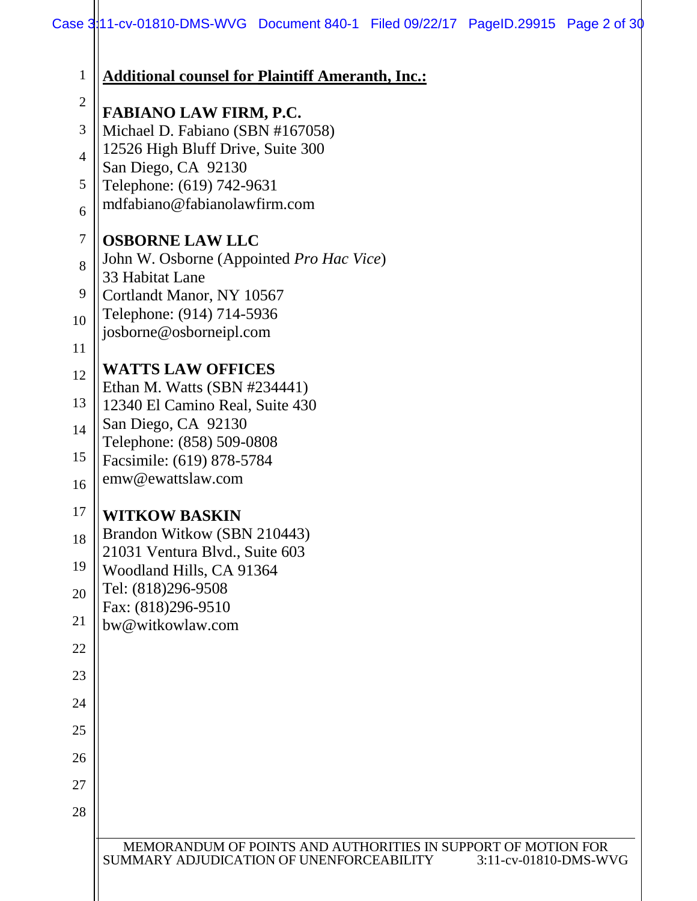| $\mathbf{1}$                      | <b>Additional counsel for Plaintiff Ameranth, Inc.:</b>                                                                            |
|-----------------------------------|------------------------------------------------------------------------------------------------------------------------------------|
| $\overline{2}$                    | <b>FABIANO LAW FIRM, P.C.</b>                                                                                                      |
| 3                                 | Michael D. Fabiano (SBN #167058)                                                                                                   |
| $\overline{4}$                    | 12526 High Bluff Drive, Suite 300                                                                                                  |
| 5                                 | San Diego, CA 92130<br>Telephone: (619) 742-9631                                                                                   |
| mdfabiano@fabianolawfirm.com<br>6 |                                                                                                                                    |
| $\tau$                            | <b>OSBORNE LAW LLC</b>                                                                                                             |
| 8                                 | John W. Osborne (Appointed Pro Hac Vice)<br>33 Habitat Lane                                                                        |
| 9                                 | Cortlandt Manor, NY 10567                                                                                                          |
| 10                                | Telephone: (914) 714-5936                                                                                                          |
| 11                                | josborne@osborneipl.com                                                                                                            |
| 12                                | <b>WATTS LAW OFFICES</b>                                                                                                           |
| 13                                | Ethan M. Watts (SBN #234441)<br>12340 El Camino Real, Suite 430                                                                    |
| 14                                | San Diego, CA 92130                                                                                                                |
| 15                                | Telephone: (858) 509-0808<br>Facsimile: (619) 878-5784                                                                             |
| 16                                | emw@ewattslaw.com                                                                                                                  |
| 17                                | <b>WITKOW BASKIN</b>                                                                                                               |
| 18                                | Brandon Witkow (SBN 210443)                                                                                                        |
| 19                                | 21031 Ventura Blvd., Suite 603                                                                                                     |
| 20                                | Woodland Hills, CA 91364<br>Tel: (818)296-9508                                                                                     |
|                                   | Fax: (818)296-9510                                                                                                                 |
| 21                                | bw@witkowlaw.com                                                                                                                   |
| 22                                |                                                                                                                                    |
| 23<br>24                          |                                                                                                                                    |
| 25                                |                                                                                                                                    |
| 26                                |                                                                                                                                    |
| 27                                |                                                                                                                                    |
| 28                                |                                                                                                                                    |
|                                   |                                                                                                                                    |
|                                   | MEMORANDUM OF POINTS AND AUTHORITIES IN SUPPORT OF MOTION FOR<br>SUMMARY ADJUDICATION OF UNENFORCEABILITY<br>3:11-cv-01810-DMS-WVG |
|                                   |                                                                                                                                    |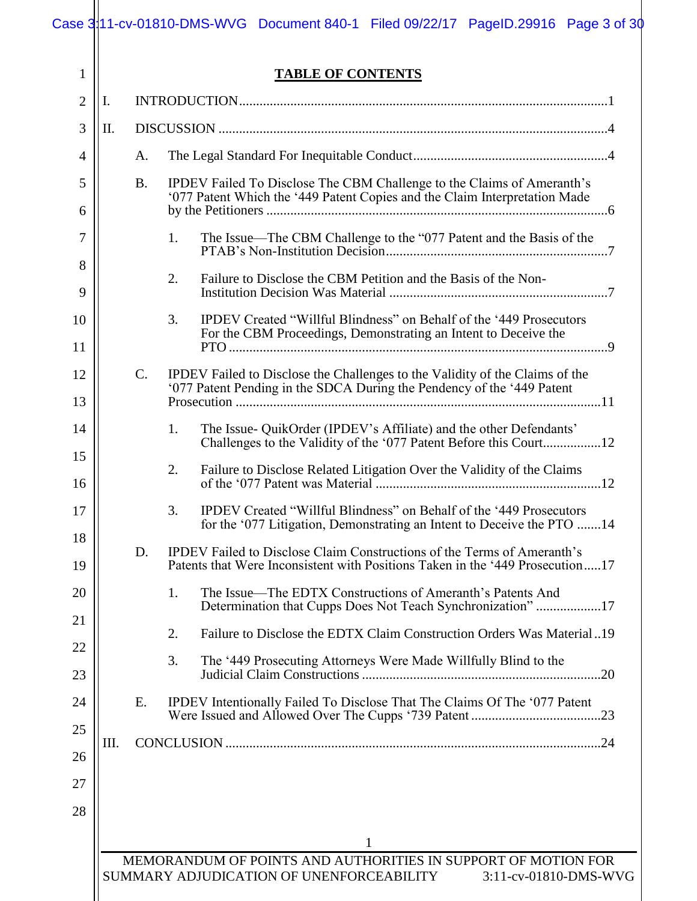## **TABLE OF CONTENTS**

|                |    |             | <b>TABLE OF CONTENTS</b>                                                                                                                                        |  |
|----------------|----|-------------|-----------------------------------------------------------------------------------------------------------------------------------------------------------------|--|
| $\overline{2}$ | Ι. |             |                                                                                                                                                                 |  |
| 3              | П. |             |                                                                                                                                                                 |  |
| 4              |    | A.          |                                                                                                                                                                 |  |
| 5<br>6         |    | <b>B.</b>   | <b>IPDEV</b> Failed To Disclose The CBM Challenge to the Claims of Ameranth's<br>'077 Patent Which the '449 Patent Copies and the Claim Interpretation Made     |  |
| 7              |    |             | 1.<br>The Issue—The CBM Challenge to the "077 Patent and the Basis of the                                                                                       |  |
| 8<br>9         |    |             | 2.<br>Failure to Disclose the CBM Petition and the Basis of the Non-                                                                                            |  |
| 10<br>11       |    |             | 3.<br>IPDEV Created "Willful Blindness" on Behalf of the '449 Prosecutors<br>For the CBM Proceedings, Demonstrating an Intent to Deceive the                    |  |
| 12<br>13       |    | $C_{\cdot}$ | IPDEV Failed to Disclose the Challenges to the Validity of the Claims of the<br>'077 Patent Pending in the SDCA During the Pendency of the '449 Patent          |  |
| 14             |    |             | The Issue- QuikOrder (IPDEV's Affiliate) and the other Defendants'<br>1.                                                                                        |  |
| 15<br>16       |    |             | Failure to Disclose Related Litigation Over the Validity of the Claims<br>2.                                                                                    |  |
| 17             |    |             | IPDEV Created "Willful Blindness" on Behalf of the '449 Prosecutors<br>3.<br>for the '077 Litigation, Demonstrating an Intent to Deceive the PTO 14             |  |
| 18<br>19       |    | D.          | <b>IPDEV</b> Failed to Disclose Claim Constructions of the Terms of Ameranth's<br>Patents that Were Inconsistent with Positions Taken in the '449 Prosecution17 |  |
| 20             |    |             | The Issue—The EDTX Constructions of Ameranth's Patents And<br>1.<br>Determination that Cupps Does Not Teach Synchronization"17                                  |  |
| 21             |    |             | Failure to Disclose the EDTX Claim Construction Orders Was Material19<br>2.                                                                                     |  |
| 22<br>23       |    |             | 3.<br>The '449 Prosecuting Attorneys Were Made Willfully Blind to the                                                                                           |  |
| 24<br>25       |    | Ε.          | IPDEV Intentionally Failed To Disclose That The Claims Of The '077 Patent                                                                                       |  |
| 26             | Ш. |             |                                                                                                                                                                 |  |
| 27<br>28       |    |             |                                                                                                                                                                 |  |
|                |    |             | 1                                                                                                                                                               |  |
|                |    |             | MEMORANDUM OF POINTS AND AUTHORITIES IN SUPPORT OF MOTION FOR                                                                                                   |  |
|                |    |             | SUMMARY ADJUDICATION OF UNENFORCEABILITY<br>3:11-cv-01810-DMS-WVG                                                                                               |  |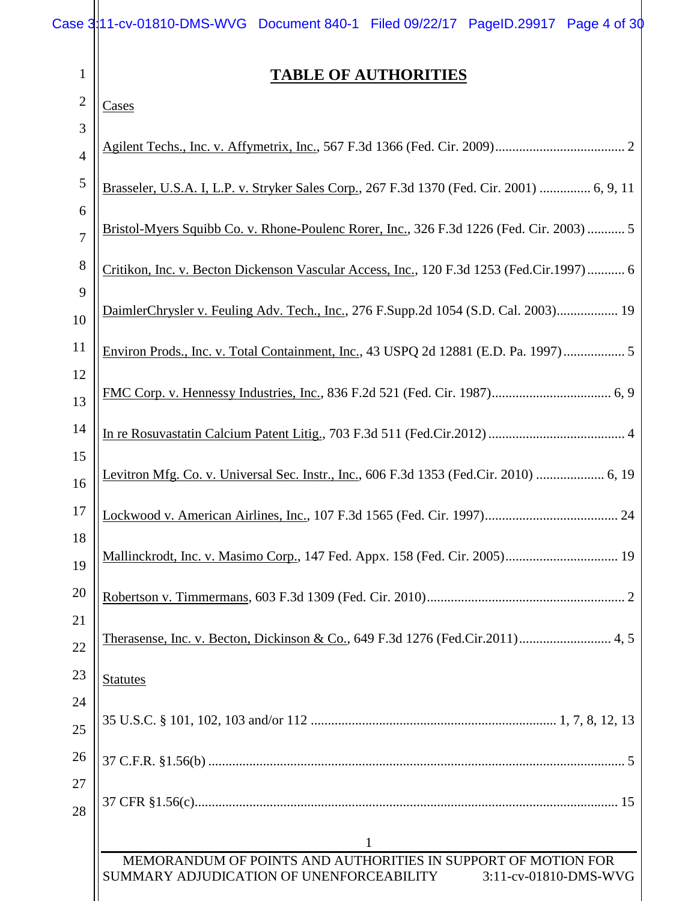|                | Case 3:11-cv-01810-DMS-WVG Document 840-1 Filed 09/22/17 PageID.29917 Page 4 of 30         |
|----------------|--------------------------------------------------------------------------------------------|
| $\mathbf{1}$   | <b>TABLE OF AUTHORITIES</b>                                                                |
| $\mathbf{2}$   | <b>Cases</b>                                                                               |
| 3              |                                                                                            |
| $\overline{4}$ |                                                                                            |
| 5              | Brasseler, U.S.A. I, L.P. v. Stryker Sales Corp., 267 F.3d 1370 (Fed. Cir. 2001)  6, 9, 11 |
| 6              | Bristol-Myers Squibb Co. v. Rhone-Poulenc Rorer, Inc., 326 F.3d 1226 (Fed. Cir. 2003)  5   |
| $\overline{7}$ |                                                                                            |
| $8\,$          | Critikon, Inc. v. Becton Dickenson Vascular Access, Inc., 120 F.3d 1253 (Fed.Cir.1997) 6   |
| 9<br>10        | DaimlerChrysler v. Feuling Adv. Tech., Inc., 276 F.Supp.2d 1054 (S.D. Cal. 2003) 19        |
| 11             | Environ Prods., Inc. v. Total Containment, Inc., 43 USPQ 2d 12881 (E.D. Pa. 1997) 5        |
| 12<br>13       |                                                                                            |
| 14             |                                                                                            |
| 15<br>16       | Levitron Mfg. Co. v. Universal Sec. Instr., Inc., 606 F.3d 1353 (Fed.Cir. 2010)  6, 19     |
| 17<br>18       |                                                                                            |
| 19             | Mallinckrodt, Inc. v. Masimo Corp., 147 Fed. Appx. 158 (Fed. Cir. 2005) 19                 |
| 20<br>21       |                                                                                            |
| 22             |                                                                                            |
| 23<br>24       | <b>Statutes</b>                                                                            |
| 25             |                                                                                            |
| 26<br>27       |                                                                                            |
| 28             |                                                                                            |
|                | 1<br>MEMORANDUM OF POINTS AND AUTHORITIES IN SUPPORT OF MOTION FOR                         |
|                | SUMMARY ADJUDICATION OF UNENFORCEABILITY<br>3:11-cv-01810-DMS-WVG                          |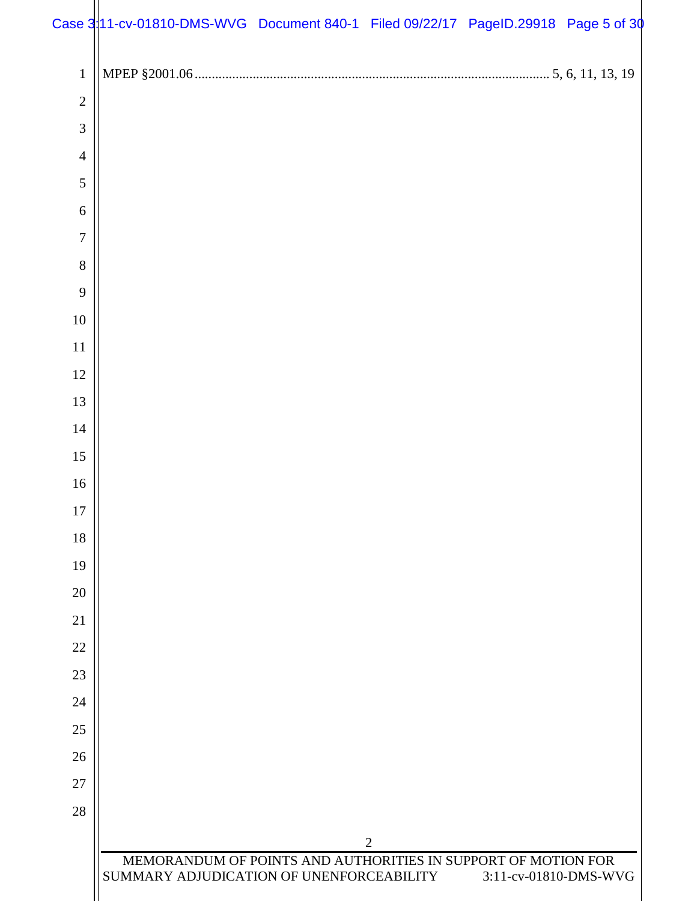# Case 3:11-cv-01810-DMS-WVG Document 840-1 Filed 09/22/17 PageID.29918 Page 5 of 30

| $\,1\,$          |                                                                                 |
|------------------|---------------------------------------------------------------------------------|
| $\overline{c}$   |                                                                                 |
| 3                |                                                                                 |
| $\overline{4}$   |                                                                                 |
| 5                |                                                                                 |
| $\sqrt{6}$       |                                                                                 |
| $\boldsymbol{7}$ |                                                                                 |
| $\,8\,$          |                                                                                 |
| 9                |                                                                                 |
| $10\,$           |                                                                                 |
| 11               |                                                                                 |
| $12\,$           |                                                                                 |
| 13               |                                                                                 |
| 14               |                                                                                 |
| 15               |                                                                                 |
| 16               |                                                                                 |
| 17               |                                                                                 |
| 18               |                                                                                 |
| 19               |                                                                                 |
| 20               |                                                                                 |
| 21               |                                                                                 |
| 22               |                                                                                 |
| 23               |                                                                                 |
| 24               |                                                                                 |
| 25               |                                                                                 |
| 26               |                                                                                 |
| 27               |                                                                                 |
| 28               |                                                                                 |
|                  | $\overline{2}$<br>MEMORANDUM OF POINTS AND AUTHORITIES IN SUPPORT OF MOTION FOR |
|                  | SUMMARY ADJUDICATION OF UNENFORCEABILITY<br>3:11-cv-01810-DMS-WVG               |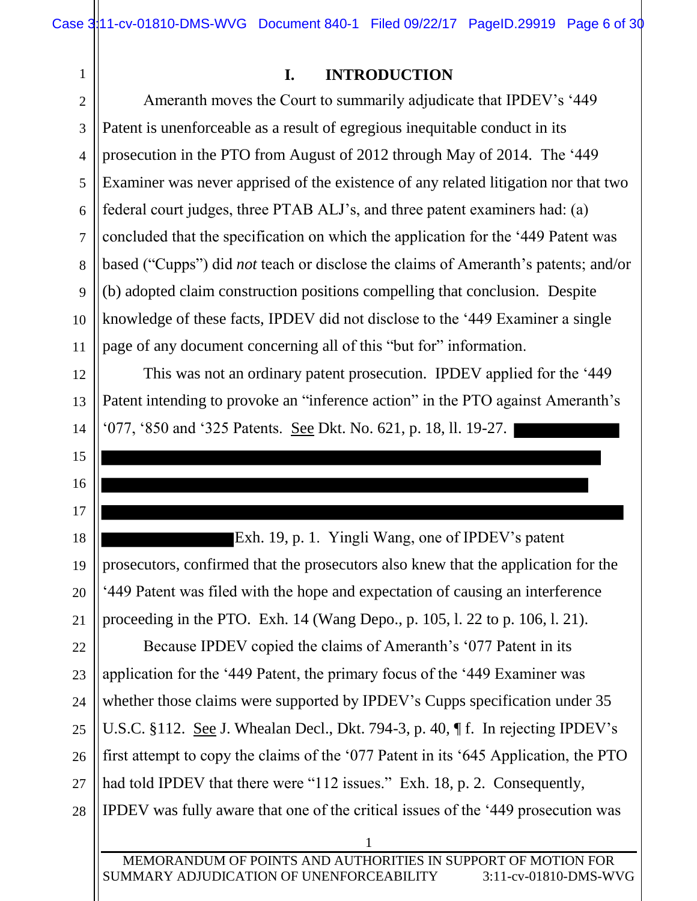12

13

14

15

16

17

18

19

20

21

## **I. INTRODUCTION**

3 4 5 6 7 8 9 10 11 Ameranth moves the Court to summarily adjudicate that IPDEV's '449 Patent is unenforceable as a result of egregious inequitable conduct in its prosecution in the PTO from August of 2012 through May of 2014. The '449 Examiner was never apprised of the existence of any related litigation nor that two federal court judges, three PTAB ALJ's, and three patent examiners had: (a) concluded that the specification on which the application for the '449 Patent was based ("Cupps") did *not* teach or disclose the claims of Ameranth's patents; and/or (b) adopted claim construction positions compelling that conclusion. Despite knowledge of these facts, IPDEV did not disclose to the '449 Examiner a single page of any document concerning all of this "but for" information.

This was not an ordinary patent prosecution. IPDEV applied for the '449 Patent intending to provoke an "inference action" in the PTO against Ameranth's '077, '850 and '325 Patents. See Dkt. No. 621, p. 18, ll. 19-27.

Exh. 19, p. 1. Yingli Wang, one of IPDEV's patent prosecutors, confirmed that the prosecutors also knew that the application for the '449 Patent was filed with the hope and expectation of causing an interference proceeding in the PTO. Exh. 14 (Wang Depo., p. 105, l. 22 to p. 106, l. 21).

22 23 24 25 26 27 28 Because IPDEV copied the claims of Ameranth's '077 Patent in its application for the '449 Patent, the primary focus of the '449 Examiner was whether those claims were supported by IPDEV's Cupps specification under 35 U.S.C. §112. See J. Whealan Decl., Dkt. 794-3, p. 40, ¶ f. In rejecting IPDEV's first attempt to copy the claims of the '077 Patent in its '645 Application, the PTO had told IPDEV that there were "112 issues." Exh. 18, p. 2. Consequently, IPDEV was fully aware that one of the critical issues of the '449 prosecution was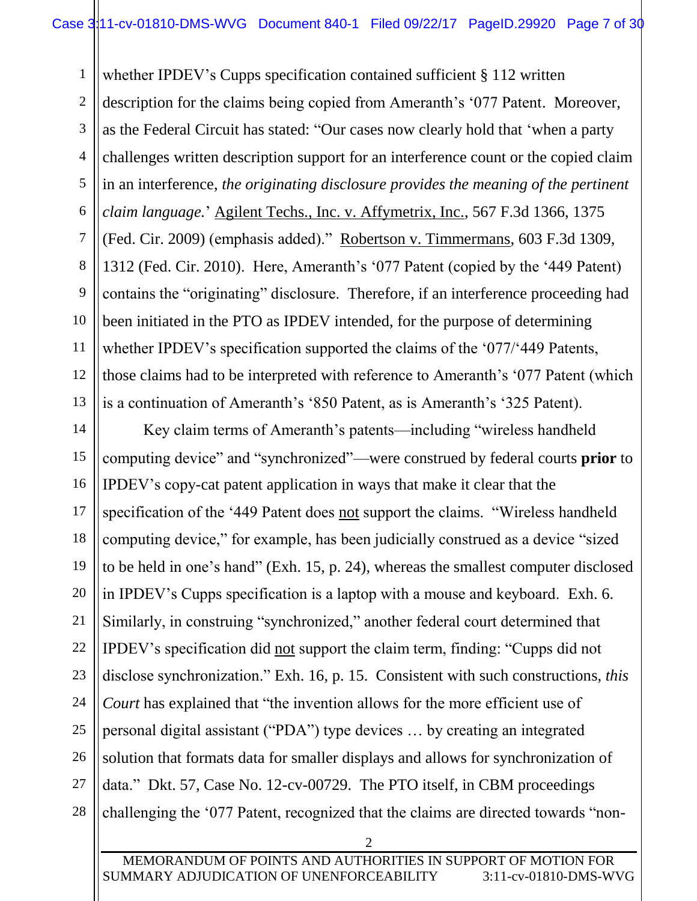1 2 3 4 5 6 7 8 9 10 11 12 13 whether IPDEV's Cupps specification contained sufficient § 112 written description for the claims being copied from Ameranth's '077 Patent. Moreover, as the Federal Circuit has stated: "Our cases now clearly hold that 'when a party challenges written description support for an interference count or the copied claim in an interference, *the originating disclosure provides the meaning of the pertinent claim language.*' Agilent Techs., Inc. v. Affymetrix, Inc., 567 F.3d 1366, 1375 (Fed. Cir. 2009) (emphasis added)." Robertson v. Timmermans, 603 F.3d 1309, 1312 (Fed. Cir. 2010). Here, Ameranth's '077 Patent (copied by the '449 Patent) contains the "originating" disclosure. Therefore, if an interference proceeding had been initiated in the PTO as IPDEV intended, for the purpose of determining whether IPDEV's specification supported the claims of the '077/'449 Patents, those claims had to be interpreted with reference to Ameranth's '077 Patent (which is a continuation of Ameranth's '850 Patent, as is Ameranth's '325 Patent).

14 15 16 17 18 19 20 21 22 23 24 25 26 27 28 Key claim terms of Ameranth's patents—including "wireless handheld computing device" and "synchronized"—were construed by federal courts **prior** to IPDEV's copy-cat patent application in ways that make it clear that the specification of the '449 Patent does not support the claims. "Wireless handheld computing device," for example, has been judicially construed as a device "sized to be held in one's hand" (Exh. 15, p. 24), whereas the smallest computer disclosed in IPDEV's Cupps specification is a laptop with a mouse and keyboard. Exh. 6. Similarly, in construing "synchronized," another federal court determined that IPDEV's specification did not support the claim term, finding: "Cupps did not disclose synchronization." Exh. 16, p. 15. Consistent with such constructions, *this Court* has explained that "the invention allows for the more efficient use of personal digital assistant ("PDA") type devices … by creating an integrated solution that formats data for smaller displays and allows for synchronization of data." Dkt. 57, Case No. 12-cv-00729. The PTO itself, in CBM proceedings challenging the '077 Patent, recognized that the claims are directed towards "non-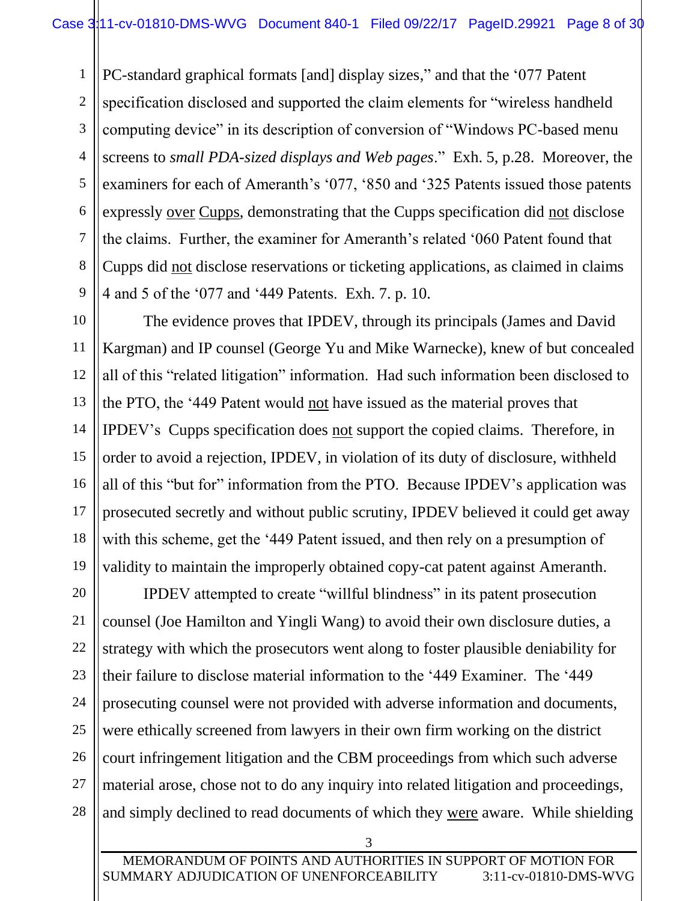1 2 3 4 5 6 7 8 9 PC-standard graphical formats [and] display sizes," and that the '077 Patent specification disclosed and supported the claim elements for "wireless handheld computing device" in its description of conversion of "Windows PC-based menu screens to *small PDA-sized displays and Web pages*." Exh. 5, p.28. Moreover, the examiners for each of Ameranth's '077, '850 and '325 Patents issued those patents expressly over Cupps, demonstrating that the Cupps specification did not disclose the claims. Further, the examiner for Ameranth's related '060 Patent found that Cupps did not disclose reservations or ticketing applications, as claimed in claims 4 and 5 of the '077 and '449 Patents. Exh. 7. p. 10.

10

11

12

13

14

15

16

17

18

19

The evidence proves that IPDEV, through its principals (James and David Kargman) and IP counsel (George Yu and Mike Warnecke), knew of but concealed all of this "related litigation" information. Had such information been disclosed to the PTO, the '449 Patent would not have issued as the material proves that IPDEV's Cupps specification does not support the copied claims. Therefore, in order to avoid a rejection, IPDEV, in violation of its duty of disclosure, withheld all of this "but for" information from the PTO. Because IPDEV's application was prosecuted secretly and without public scrutiny, IPDEV believed it could get away with this scheme, get the '449 Patent issued, and then rely on a presumption of validity to maintain the improperly obtained copy-cat patent against Ameranth.

20 21 22 23 24 25 26 27 28 IPDEV attempted to create "willful blindness" in its patent prosecution counsel (Joe Hamilton and Yingli Wang) to avoid their own disclosure duties, a strategy with which the prosecutors went along to foster plausible deniability for their failure to disclose material information to the '449 Examiner. The '449 prosecuting counsel were not provided with adverse information and documents, were ethically screened from lawyers in their own firm working on the district court infringement litigation and the CBM proceedings from which such adverse material arose, chose not to do any inquiry into related litigation and proceedings, and simply declined to read documents of which they were aware. While shielding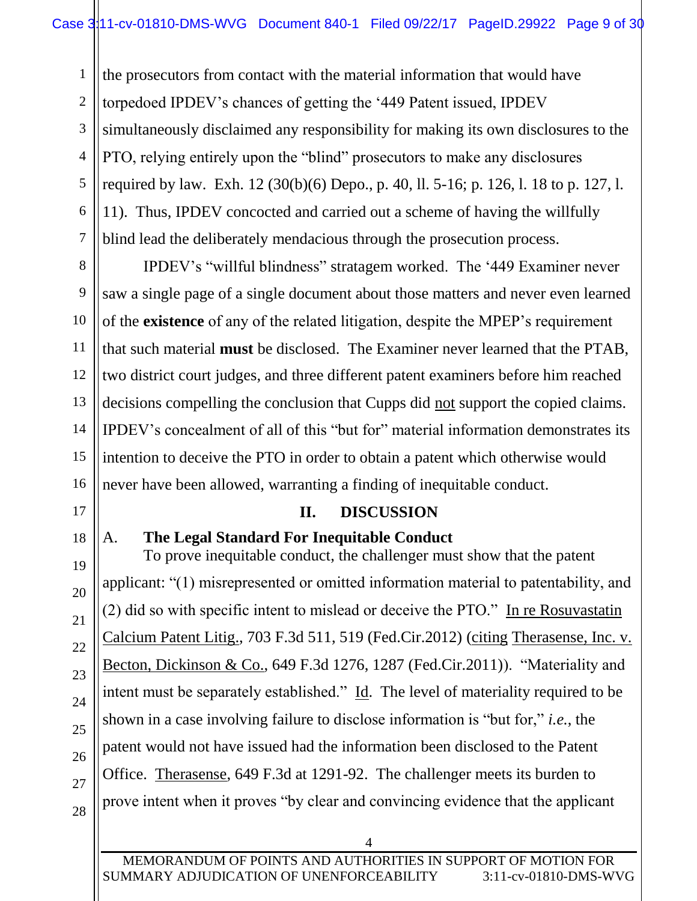1 2 3 4 5 6 7 the prosecutors from contact with the material information that would have torpedoed IPDEV's chances of getting the '449 Patent issued, IPDEV simultaneously disclaimed any responsibility for making its own disclosures to the PTO, relying entirely upon the "blind" prosecutors to make any disclosures required by law. Exh. 12 (30(b)(6) Depo., p. 40, ll. 5-16; p. 126, l. 18 to p. 127, l. 11). Thus, IPDEV concocted and carried out a scheme of having the willfully blind lead the deliberately mendacious through the prosecution process.

8 10 12 14 15 16 IPDEV's "willful blindness" stratagem worked. The '449 Examiner never saw a single page of a single document about those matters and never even learned of the **existence** of any of the related litigation, despite the MPEP's requirement that such material **must** be disclosed. The Examiner never learned that the PTAB, two district court judges, and three different patent examiners before him reached decisions compelling the conclusion that Cupps did not support the copied claims. IPDEV's concealment of all of this "but for" material information demonstrates its intention to deceive the PTO in order to obtain a patent which otherwise would never have been allowed, warranting a finding of inequitable conduct.

## **II. DISCUSSION**

18

17

19

20

21

22

23

24

25

26

27

9

11

13

A. **The Legal Standard For Inequitable Conduct** 

To prove inequitable conduct, the challenger must show that the patent applicant: "(1) misrepresented or omitted information material to patentability, and (2) did so with specific intent to mislead or deceive the PTO." In re Rosuvastatin Calcium Patent Litig., 703 F.3d 511, 519 (Fed.Cir.2012) (citing Therasense, Inc. v. Becton, Dickinson & Co., 649 F.3d 1276, 1287 (Fed.Cir.2011)). "Materiality and intent must be separately established." Id. The level of materiality required to be shown in a case involving failure to disclose information is "but for," *i.e.*, the patent would not have issued had the information been disclosed to the Patent Office. Therasense, 649 F.3d at 1291-92. The challenger meets its burden to prove intent when it proves "by clear and convincing evidence that the applicant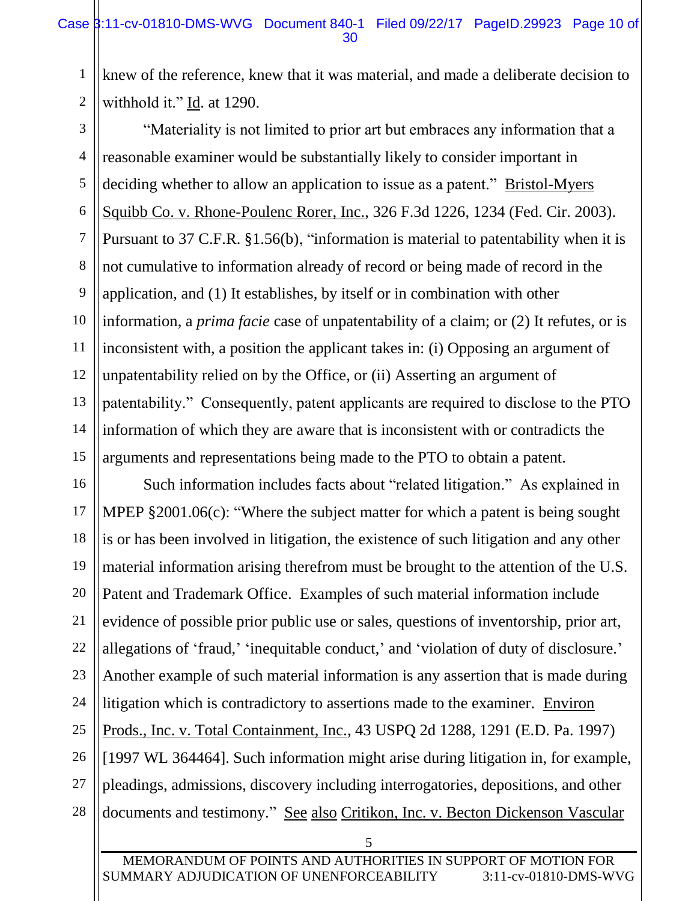1 2 knew of the reference, knew that it was material, and made a deliberate decision to withhold it." Id. at 1290.

3 4 5 6 7 8 9 10 11 12 13 14 15 "Materiality is not limited to prior art but embraces any information that a reasonable examiner would be substantially likely to consider important in deciding whether to allow an application to issue as a patent." Bristol-Myers Squibb Co. v. Rhone-Poulenc Rorer, Inc., 326 F.3d 1226, 1234 (Fed. Cir. 2003). Pursuant to 37 C.F.R. §1.56(b), "information is material to patentability when it is not cumulative to information already of record or being made of record in the application, and (1) It establishes, by itself or in combination with other information, a *prima facie* case of unpatentability of a claim; or (2) It refutes, or is inconsistent with, a position the applicant takes in: (i) Opposing an argument of unpatentability relied on by the Office, or (ii) Asserting an argument of patentability." Consequently, patent applicants are required to disclose to the PTO information of which they are aware that is inconsistent with or contradicts the arguments and representations being made to the PTO to obtain a patent.

16 17 18 19 20 21 22 23 24 25 26 27 28 Such information includes facts about "related litigation." As explained in MPEP §2001.06(c): "Where the subject matter for which a patent is being sought is or has been involved in litigation, the existence of such litigation and any other material information arising therefrom must be brought to the attention of the U.S. Patent and Trademark Office. Examples of such material information include evidence of possible prior public use or sales, questions of inventorship, prior art, allegations of 'fraud,' 'inequitable conduct,' and 'violation of duty of disclosure.' Another example of such material information is any assertion that is made during litigation which is contradictory to assertions made to the examiner. Environ Prods., Inc. v. Total Containment, Inc., 43 USPQ 2d 1288, 1291 (E.D. Pa. 1997) [1997 WL 364464]. Such information might arise during litigation in, for example, pleadings, admissions, discovery including interrogatories, depositions, and other documents and testimony." See also Critikon, Inc. v. Becton Dickenson Vascular

MEMORANDUM OF POINTS AND AUTHORITIES IN SUPPORT OF MOTION FOR SUMMARY ADJUDICATION OF UNENFORCEABILITY 3:11-cv-01810-DMS-WVG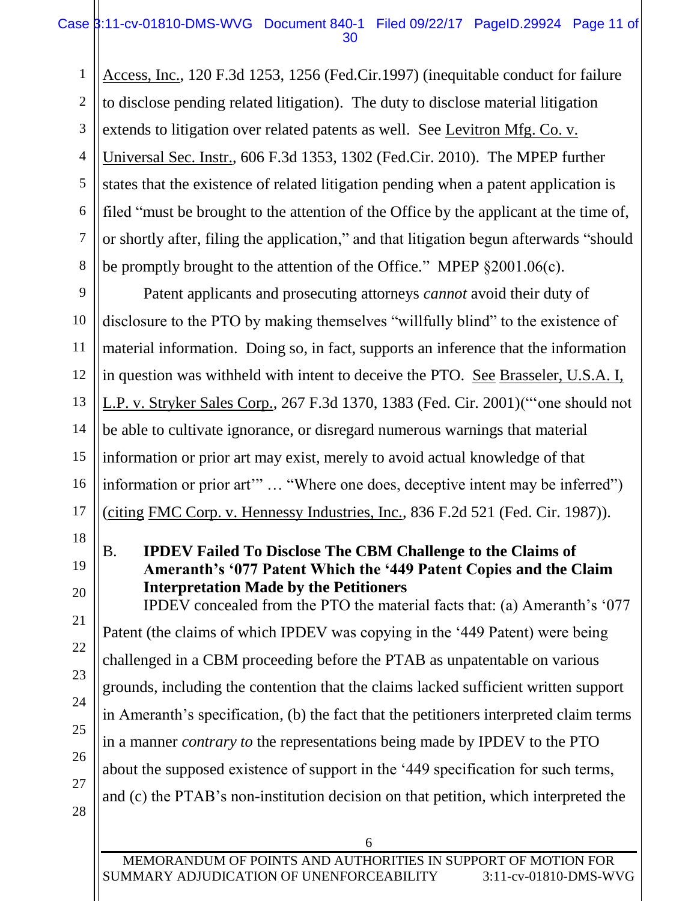1 2 3 4 5 6 7 8 Access, Inc., 120 F.3d 1253, 1256 (Fed.Cir.1997) (inequitable conduct for failure to disclose pending related litigation). The duty to disclose material litigation extends to litigation over related patents as well. See Levitron Mfg. Co. v. Universal Sec. Instr., 606 F.3d 1353, 1302 (Fed.Cir. 2010). The MPEP further states that the existence of related litigation pending when a patent application is filed "must be brought to the attention of the Office by the applicant at the time of, or shortly after, filing the application," and that litigation begun afterwards "should be promptly brought to the attention of the Office." MPEP §2001.06(c).

Patent applicants and prosecuting attorneys *cannot* avoid their duty of disclosure to the PTO by making themselves "willfully blind" to the existence of material information. Doing so, in fact, supports an inference that the information in question was withheld with intent to deceive the PTO. See Brasseler, U.S.A. I, L.P. v. Stryker Sales Corp., 267 F.3d 1370, 1383 (Fed. Cir. 2001)("'one should not be able to cultivate ignorance, or disregard numerous warnings that material information or prior art may exist, merely to avoid actual knowledge of that information or prior art'" … "Where one does, deceptive intent may be inferred") (citing FMC Corp. v. Hennessy Industries, Inc., 836 F.2d 521 (Fed. Cir. 1987)).

18

17

9

10

11

12

13

14

15

16

19

20

21

22

23

24

25

26

27

## B. **IPDEV Failed To Disclose The CBM Challenge to the Claims of Ameranth's '077 Patent Which the '449 Patent Copies and the Claim Interpretation Made by the Petitioners**

IPDEV concealed from the PTO the material facts that: (a) Ameranth's '077 Patent (the claims of which IPDEV was copying in the '449 Patent) were being challenged in a CBM proceeding before the PTAB as unpatentable on various grounds, including the contention that the claims lacked sufficient written support in Ameranth's specification, (b) the fact that the petitioners interpreted claim terms in a manner *contrary to* the representations being made by IPDEV to the PTO about the supposed existence of support in the '449 specification for such terms, and (c) the PTAB's non-institution decision on that petition, which interpreted the

28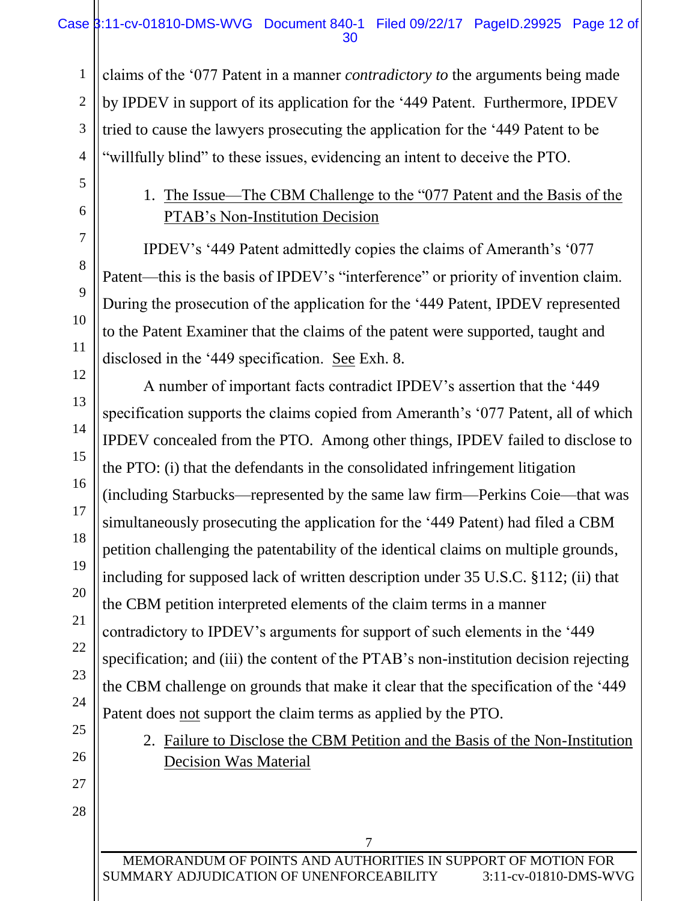claims of the '077 Patent in a manner *contradictory to* the arguments being made by IPDEV in support of its application for the '449 Patent. Furthermore, IPDEV tried to cause the lawyers prosecuting the application for the '449 Patent to be "willfully blind" to these issues, evidencing an intent to deceive the PTO.

# 1. The Issue—The CBM Challenge to the "077 Patent and the Basis of the PTAB's Non-Institution Decision

IPDEV's '449 Patent admittedly copies the claims of Ameranth's '077 Patent—this is the basis of IPDEV's "interference" or priority of invention claim. During the prosecution of the application for the '449 Patent, IPDEV represented to the Patent Examiner that the claims of the patent were supported, taught and disclosed in the '449 specification. See Exh. 8.

A number of important facts contradict IPDEV's assertion that the '449 specification supports the claims copied from Ameranth's '077 Patent, all of which IPDEV concealed from the PTO. Among other things, IPDEV failed to disclose to the PTO: (i) that the defendants in the consolidated infringement litigation (including Starbucks—represented by the same law firm—Perkins Coie—that was simultaneously prosecuting the application for the '449 Patent) had filed a CBM petition challenging the patentability of the identical claims on multiple grounds, including for supposed lack of written description under 35 U.S.C. §112; (ii) that the CBM petition interpreted elements of the claim terms in a manner contradictory to IPDEV's arguments for support of such elements in the '449 specification; and (iii) the content of the PTAB's non-institution decision rejecting the CBM challenge on grounds that make it clear that the specification of the '449 Patent does not support the claim terms as applied by the PTO.

2. Failure to Disclose the CBM Petition and the Basis of the Non-Institution Decision Was Material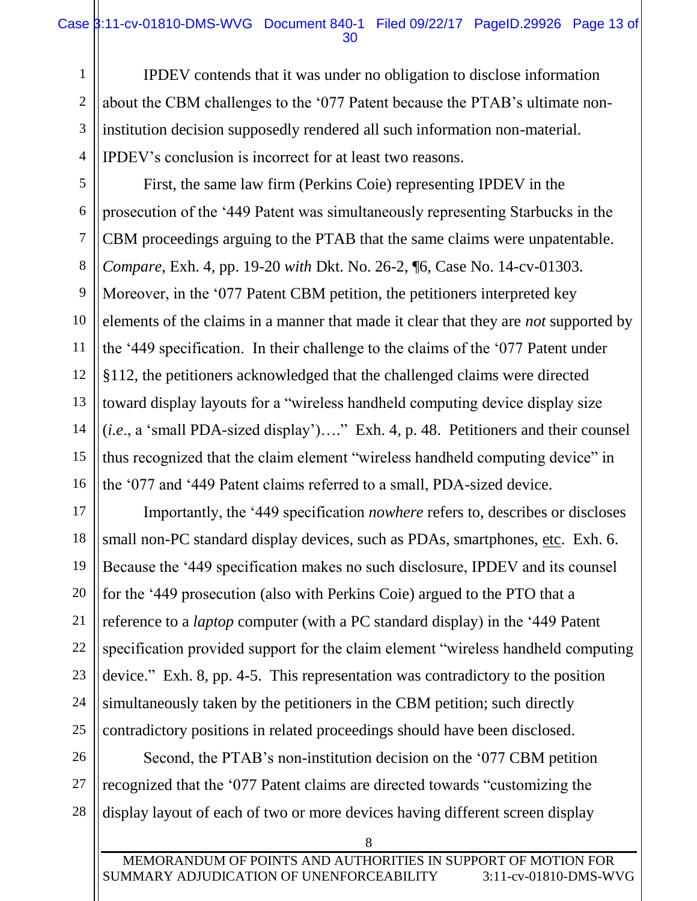## Case 3:11-cv-01810-DMS-WVG Document 840-1 Filed 09/22/17 PageID.29926 Page 13 of 30

IPDEV contends that it was under no obligation to disclose information about the CBM challenges to the '077 Patent because the PTAB's ultimate noninstitution decision supposedly rendered all such information non-material. IPDEV's conclusion is incorrect for at least two reasons.

First, the same law firm (Perkins Coie) representing IPDEV in the prosecution of the '449 Patent was simultaneously representing Starbucks in the CBM proceedings arguing to the PTAB that the same claims were unpatentable. *Compare*, Exh. 4, pp. 19-20 *with* Dkt. No. 26-2, ¶6, Case No. 14-cv-01303. Moreover, in the '077 Patent CBM petition, the petitioners interpreted key elements of the claims in a manner that made it clear that they are *not* supported by the '449 specification. In their challenge to the claims of the '077 Patent under §112, the petitioners acknowledged that the challenged claims were directed toward display layouts for a "wireless handheld computing device display size (*i.e*., a 'small PDA-sized display')…." Exh. 4, p. 48. Petitioners and their counsel thus recognized that the claim element "wireless handheld computing device" in the '077 and '449 Patent claims referred to a small, PDA-sized device.

Importantly, the '449 specification *nowhere* refers to, describes or discloses small non-PC standard display devices, such as PDAs, smartphones, etc. Exh. 6. Because the '449 specification makes no such disclosure, IPDEV and its counsel for the '449 prosecution (also with Perkins Coie) argued to the PTO that a reference to a *laptop* computer (with a PC standard display) in the '449 Patent specification provided support for the claim element "wireless handheld computing device." Exh. 8, pp. 4-5. This representation was contradictory to the position simultaneously taken by the petitioners in the CBM petition; such directly contradictory positions in related proceedings should have been disclosed.

Second, the PTAB's non-institution decision on the '077 CBM petition recognized that the '077 Patent claims are directed towards "customizing the display layout of each of two or more devices having different screen display

8

1

2

3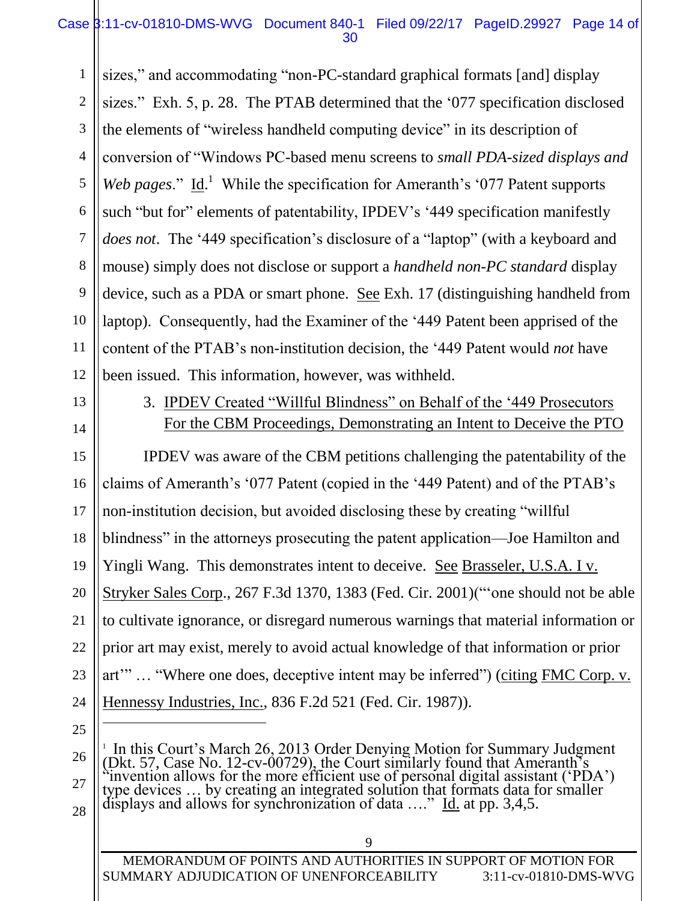## Case 3:11-cv-01810-DMS-WVG Document 840-1 Filed 09/22/17 PageID.29927 Page 14 of 30

1 2 3 4 5 6 7 8 9 10 11 12 sizes," and accommodating "non-PC-standard graphical formats [and] display sizes." Exh. 5, p. 28. The PTAB determined that the '077 specification disclosed the elements of "wireless handheld computing device" in its description of conversion of "Windows PC-based menu screens to *small PDA-sized displays and*  Web pages."  $\underline{Id}$ .<sup>1</sup> While the specification for Ameranth's '077 Patent supports such "but for" elements of patentability, IPDEV's '449 specification manifestly *does not*. The '449 specification's disclosure of a "laptop" (with a keyboard and mouse) simply does not disclose or support a *handheld non-PC standard* display device, such as a PDA or smart phone. See Exh. 17 (distinguishing handheld from laptop). Consequently, had the Examiner of the '449 Patent been apprised of the content of the PTAB's non-institution decision, the '449 Patent would *not* have been issued. This information, however, was withheld.

13

14

3. IPDEV Created "Willful Blindness" on Behalf of the '449 Prosecutors For the CBM Proceedings, Demonstrating an Intent to Deceive the PTO

15 16 17 18 19 20 21 22 23 24 IPDEV was aware of the CBM petitions challenging the patentability of the claims of Ameranth's '077 Patent (copied in the '449 Patent) and of the PTAB's non-institution decision, but avoided disclosing these by creating "willful blindness" in the attorneys prosecuting the patent application—Joe Hamilton and Yingli Wang. This demonstrates intent to deceive. See Brasseler, U.S.A. I v. Stryker Sales Corp., 267 F.3d 1370, 1383 (Fed. Cir. 2001)("'one should not be able to cultivate ignorance, or disregard numerous warnings that material information or prior art may exist, merely to avoid actual knowledge of that information or prior art'" … "Where one does, deceptive intent may be inferred") (citing FMC Corp. v. Hennessy Industries, Inc., 836 F.2d 521 (Fed. Cir. 1987)).

25

 $\overline{a}$ 

28

26 27

MEMORANDUM OF POINTS AND AUTHORITIES IN SUPPORT OF MOTION FOR SUMMARY ADJUDICATION OF UNENFORCEABILITY 3:11-cv-01810-DMS-WVG

<sup>&</sup>lt;sup>1</sup> In this Court's March 26, 2013 Order Denying Motion for Summary Judgment (Dkt. 57, Case No. 12-cv-00729), the Court similarly found that Ameranth's "invention allows for the more efficient use of personal digital assistant ('PDA') type devices … by creating an integrated solution that formats data for smaller displays and allows for synchronization of data …." Id. at pp. 3,4,5.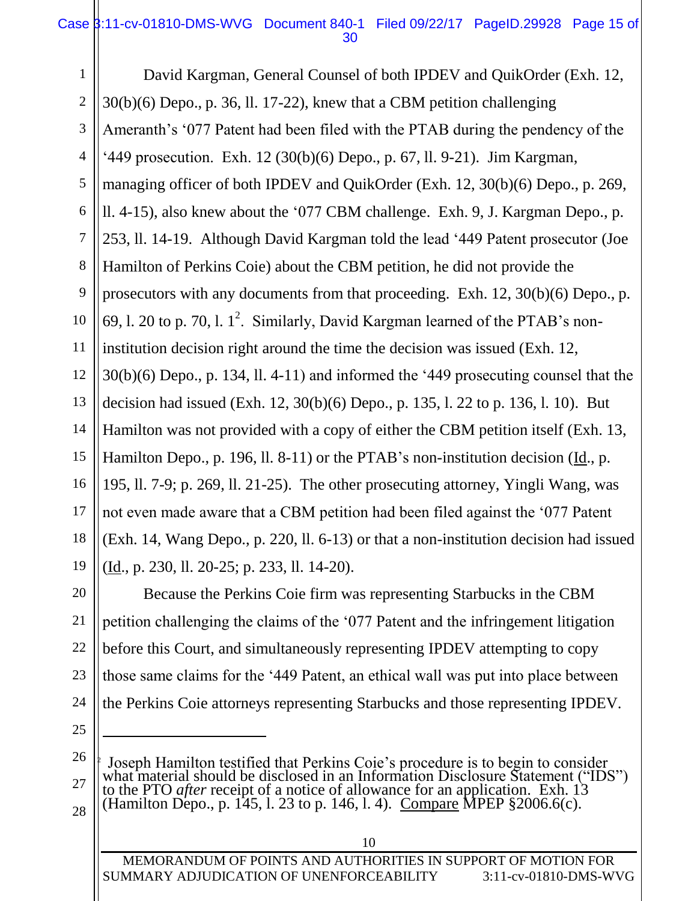## Case 3:11-cv-01810-DMS-WVG Document 840-1 Filed 09/22/17 PageID.29928 Page 15 of วก

1 2 3 4 5 6 7 8 9 10 11 12 13 14 15 16 17 18 19 David Kargman, General Counsel of both IPDEV and QuikOrder (Exh. 12, 30(b)(6) Depo., p. 36, ll. 17-22), knew that a CBM petition challenging Ameranth's '077 Patent had been filed with the PTAB during the pendency of the '449 prosecution. Exh. 12 (30(b)(6) Depo., p. 67, ll. 9-21). Jim Kargman, managing officer of both IPDEV and QuikOrder (Exh. 12, 30(b)(6) Depo., p. 269, ll. 4-15), also knew about the '077 CBM challenge. Exh. 9, J. Kargman Depo., p. 253, ll. 14-19. Although David Kargman told the lead '449 Patent prosecutor (Joe Hamilton of Perkins Coie) about the CBM petition, he did not provide the prosecutors with any documents from that proceeding. Exh. 12, 30(b)(6) Depo., p. 69, 1. 20 to p. 70, 1.  $1^2$ . Similarly, David Kargman learned of the PTAB's noninstitution decision right around the time the decision was issued (Exh. 12, 30(b)(6) Depo., p. 134, ll. 4-11) and informed the '449 prosecuting counsel that the decision had issued (Exh. 12, 30(b)(6) Depo., p. 135, l. 22 to p. 136, l. 10). But Hamilton was not provided with a copy of either the CBM petition itself (Exh. 13, Hamilton Depo., p. 196, ll. 8-11) or the PTAB's non-institution decision (Id., p. 195, ll. 7-9; p. 269, ll. 21-25). The other prosecuting attorney, Yingli Wang, was not even made aware that a CBM petition had been filed against the '077 Patent (Exh. 14, Wang Depo., p. 220, ll. 6-13) or that a non-institution decision had issued (Id., p. 230, ll. 20-25; p. 233, ll. 14-20).

20 21 22 23 24 Because the Perkins Coie firm was representing Starbucks in the CBM petition challenging the claims of the '077 Patent and the infringement litigation before this Court, and simultaneously representing IPDEV attempting to copy those same claims for the '449 Patent, an ethical wall was put into place between the Perkins Coie attorneys representing Starbucks and those representing IPDEV.

25

 $\overline{a}$ 

26 27

28

2 Joseph Hamilton testified that Perkins Coie's procedure is to begin to consider what material should be disclosed in an Information Disclosure Statement ("IDS") to the PTO *after* receipt of a notice of allowance for an application. Exh. 13 (Hamilton Depo., p. 145, 1. 23 to p. 146, 1. 4). Compare MPEP §2006.6(c).

MEMORANDUM OF POINTS AND AUTHORITIES IN SUPPORT OF MOTION FOR SUMMARY ADJUDICATION OF UNENFORCEABILITY 3:11-cv-01810-DMS-WVG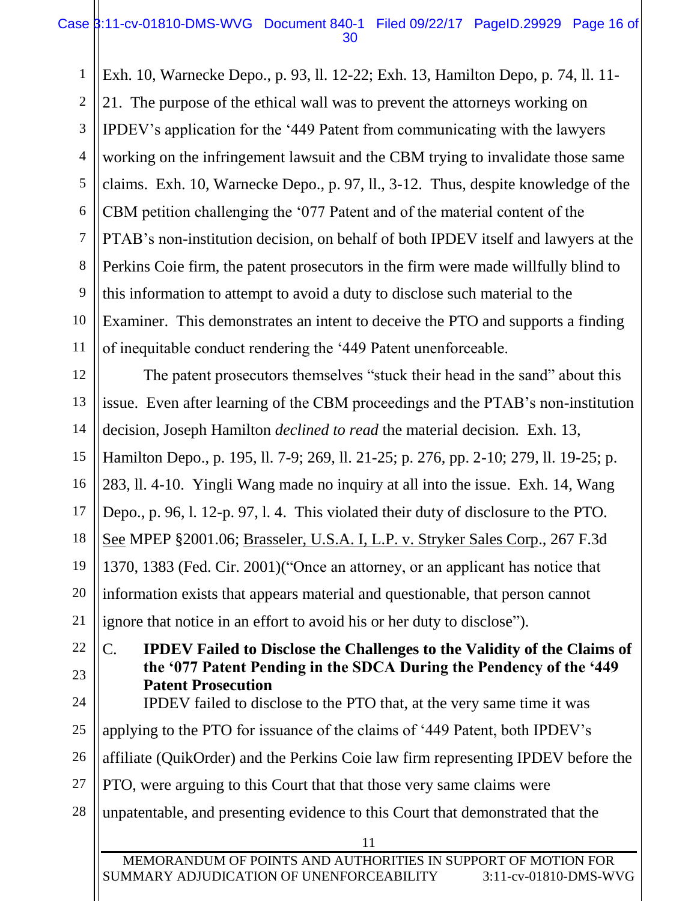1 2 3 4 5 6 7 8 9 10 11 Exh. 10, Warnecke Depo., p. 93, ll. 12-22; Exh. 13, Hamilton Depo, p. 74, ll. 11- 21. The purpose of the ethical wall was to prevent the attorneys working on IPDEV's application for the '449 Patent from communicating with the lawyers working on the infringement lawsuit and the CBM trying to invalidate those same claims. Exh. 10, Warnecke Depo., p. 97, ll., 3-12. Thus, despite knowledge of the CBM petition challenging the '077 Patent and of the material content of the PTAB's non-institution decision, on behalf of both IPDEV itself and lawyers at the Perkins Coie firm, the patent prosecutors in the firm were made willfully blind to this information to attempt to avoid a duty to disclose such material to the Examiner. This demonstrates an intent to deceive the PTO and supports a finding of inequitable conduct rendering the '449 Patent unenforceable.

12 13 14 15 16 17 18 19 20 21 22 The patent prosecutors themselves "stuck their head in the sand" about this issue. Even after learning of the CBM proceedings and the PTAB's non-institution decision, Joseph Hamilton *declined to read* the material decision. Exh. 13, Hamilton Depo., p. 195, ll. 7-9; 269, ll. 21-25; p. 276, pp. 2-10; 279, ll. 19-25; p. 283, ll. 4-10. Yingli Wang made no inquiry at all into the issue. Exh. 14, Wang Depo., p. 96, l. 12-p. 97, l. 4. This violated their duty of disclosure to the PTO. See MPEP §2001.06; Brasseler, U.S.A. I, L.P. v. Stryker Sales Corp., 267 F.3d 1370, 1383 (Fed. Cir. 2001)("Once an attorney, or an applicant has notice that information exists that appears material and questionable, that person cannot ignore that notice in an effort to avoid his or her duty to disclose").

C. **IPDEV Failed to Disclose the Challenges to the Validity of the Claims of the '077 Patent Pending in the SDCA During the Pendency of the '449 Patent Prosecution**  IPDEV failed to disclose to the PTO that, at the very same time it was

25 applying to the PTO for issuance of the claims of '449 Patent, both IPDEV's

26 affiliate (QuikOrder) and the Perkins Coie law firm representing IPDEV before the

27 PTO, were arguing to this Court that that those very same claims were

23

24

28 unpatentable, and presenting evidence to this Court that demonstrated that the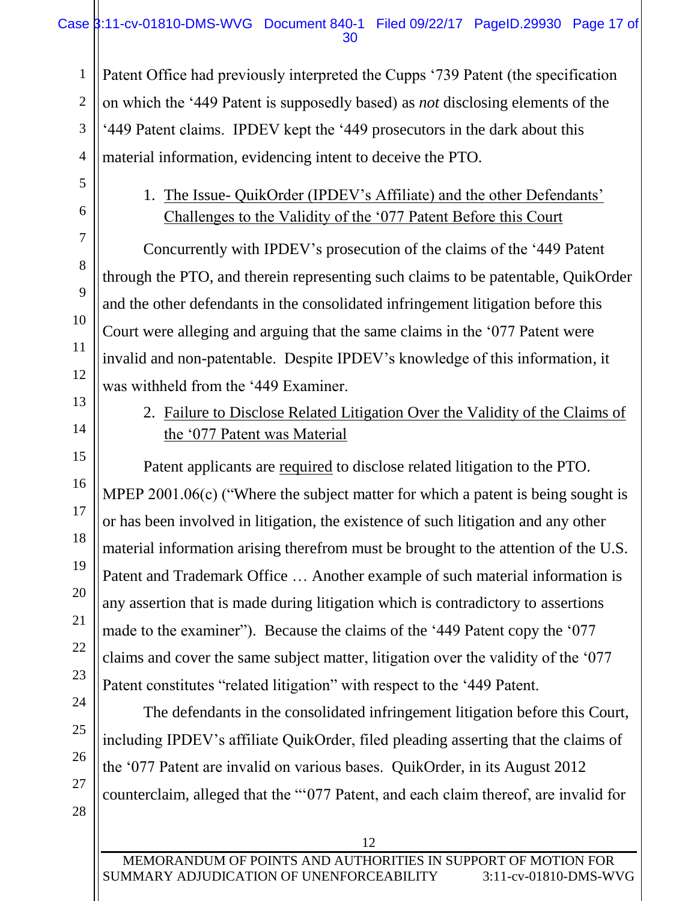## Case 3:11-cv-01810-DMS-WVG Document 840-1 Filed 09/22/17 PageID.29930 Page 17 of 30

Patent Office had previously interpreted the Cupps '739 Patent (the specification on which the '449 Patent is supposedly based) as *not* disclosing elements of the '449 Patent claims. IPDEV kept the '449 prosecutors in the dark about this material information, evidencing intent to deceive the PTO.

# 1. The Issue- QuikOrder (IPDEV's Affiliate) and the other Defendants' Challenges to the Validity of the '077 Patent Before this Court

Concurrently with IPDEV's prosecution of the claims of the '449 Patent through the PTO, and therein representing such claims to be patentable, QuikOrder and the other defendants in the consolidated infringement litigation before this Court were alleging and arguing that the same claims in the '077 Patent were invalid and non-patentable. Despite IPDEV's knowledge of this information, it was withheld from the '449 Examiner.

# 2. Failure to Disclose Related Litigation Over the Validity of the Claims of the '077 Patent was Material

Patent applicants are required to disclose related litigation to the PTO. MPEP 2001.06(c) ("Where the subject matter for which a patent is being sought is or has been involved in litigation, the existence of such litigation and any other material information arising therefrom must be brought to the attention of the U.S. Patent and Trademark Office … Another example of such material information is any assertion that is made during litigation which is contradictory to assertions made to the examiner"). Because the claims of the '449 Patent copy the '077 claims and cover the same subject matter, litigation over the validity of the '077 Patent constitutes "related litigation" with respect to the '449 Patent.

The defendants in the consolidated infringement litigation before this Court, including IPDEV's affiliate QuikOrder, filed pleading asserting that the claims of the '077 Patent are invalid on various bases. QuikOrder, in its August 2012 counterclaim, alleged that the "'077 Patent, and each claim thereof, are invalid for

1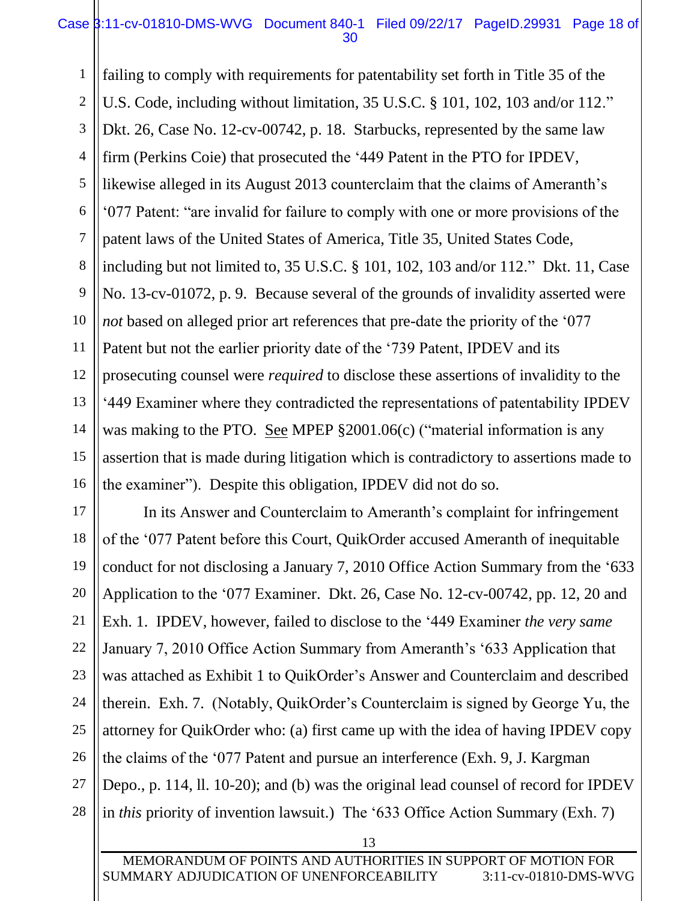## Case 3:11-cv-01810-DMS-WVG Document 840-1 Filed 09/22/17 PageID.29931 Page 18 of 30

1 2 3 4 5 6 7 8 9 10 11 12 13 14 15 16 failing to comply with requirements for patentability set forth in Title 35 of the U.S. Code, including without limitation, 35 U.S.C. § 101, 102, 103 and/or 112." Dkt. 26, Case No. 12-cv-00742, p. 18. Starbucks, represented by the same law firm (Perkins Coie) that prosecuted the '449 Patent in the PTO for IPDEV, likewise alleged in its August 2013 counterclaim that the claims of Ameranth's '077 Patent: "are invalid for failure to comply with one or more provisions of the patent laws of the United States of America, Title 35, United States Code, including but not limited to, 35 U.S.C. § 101, 102, 103 and/or 112." Dkt. 11, Case No. 13-cv-01072, p. 9. Because several of the grounds of invalidity asserted were *not* based on alleged prior art references that pre-date the priority of the '077 Patent but not the earlier priority date of the '739 Patent, IPDEV and its prosecuting counsel were *required* to disclose these assertions of invalidity to the '449 Examiner where they contradicted the representations of patentability IPDEV was making to the PTO. See MPEP §2001.06(c) ("material information is any assertion that is made during litigation which is contradictory to assertions made to the examiner"). Despite this obligation, IPDEV did not do so.

17 18 19 20 21 22 23 24 25 26 27 28 In its Answer and Counterclaim to Ameranth's complaint for infringement of the '077 Patent before this Court, QuikOrder accused Ameranth of inequitable conduct for not disclosing a January 7, 2010 Office Action Summary from the '633 Application to the '077 Examiner. Dkt. 26, Case No. 12-cv-00742, pp. 12, 20 and Exh. 1. IPDEV, however, failed to disclose to the '449 Examiner *the very same* January 7, 2010 Office Action Summary from Ameranth's '633 Application that was attached as Exhibit 1 to QuikOrder's Answer and Counterclaim and described therein. Exh. 7. (Notably, QuikOrder's Counterclaim is signed by George Yu, the attorney for QuikOrder who: (a) first came up with the idea of having IPDEV copy the claims of the '077 Patent and pursue an interference (Exh. 9, J. Kargman Depo., p. 114, ll. 10-20); and (b) was the original lead counsel of record for IPDEV in *this* priority of invention lawsuit.) The '633 Office Action Summary (Exh. 7)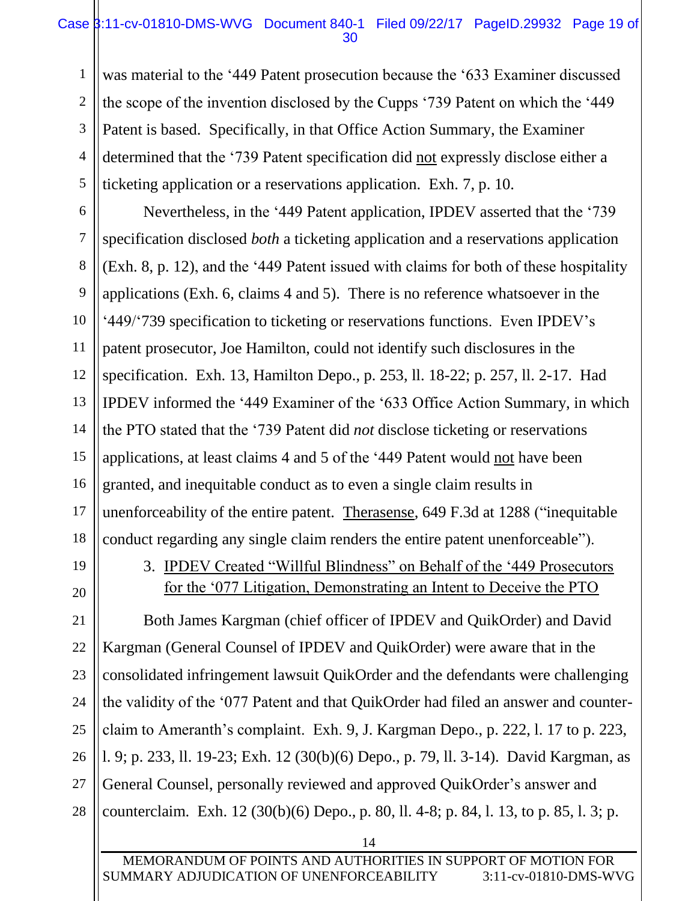## Case 3:11-cv-01810-DMS-WVG Document 840-1 Filed 09/22/17 PageID.29932 Page 19 of 30

was material to the '449 Patent prosecution because the '633 Examiner discussed the scope of the invention disclosed by the Cupps '739 Patent on which the '449 Patent is based. Specifically, in that Office Action Summary, the Examiner determined that the '739 Patent specification did not expressly disclose either a ticketing application or a reservations application. Exh. 7, p. 10.

Nevertheless, in the '449 Patent application, IPDEV asserted that the '739 specification disclosed *both* a ticketing application and a reservations application (Exh. 8, p. 12), and the '449 Patent issued with claims for both of these hospitality applications (Exh. 6, claims 4 and 5). There is no reference whatsoever in the '449/'739 specification to ticketing or reservations functions. Even IPDEV's patent prosecutor, Joe Hamilton, could not identify such disclosures in the specification. Exh. 13, Hamilton Depo., p. 253, ll. 18-22; p. 257, ll. 2-17. Had IPDEV informed the '449 Examiner of the '633 Office Action Summary, in which the PTO stated that the '739 Patent did *not* disclose ticketing or reservations applications, at least claims 4 and 5 of the '449 Patent would not have been granted, and inequitable conduct as to even a single claim results in unenforceability of the entire patent. Therasense, 649 F.3d at 1288 ("inequitable conduct regarding any single claim renders the entire patent unenforceable").

19

20

21

22

23

24

25

26

27

28

1

2

3

4

5

6

7

8

9

10

11

12

13

14

15

16

17

18

3. IPDEV Created "Willful Blindness" on Behalf of the '449 Prosecutors for the '077 Litigation, Demonstrating an Intent to Deceive the PTO

Both James Kargman (chief officer of IPDEV and QuikOrder) and David Kargman (General Counsel of IPDEV and QuikOrder) were aware that in the consolidated infringement lawsuit QuikOrder and the defendants were challenging the validity of the '077 Patent and that QuikOrder had filed an answer and counterclaim to Ameranth's complaint. Exh. 9, J. Kargman Depo., p. 222, l. 17 to p. 223, l. 9; p. 233, ll. 19-23; Exh. 12 (30(b)(6) Depo., p. 79, ll. 3-14). David Kargman, as General Counsel, personally reviewed and approved QuikOrder's answer and counterclaim. Exh. 12 (30(b)(6) Depo., p. 80, ll. 4-8; p. 84, l. 13, to p. 85, l. 3; p.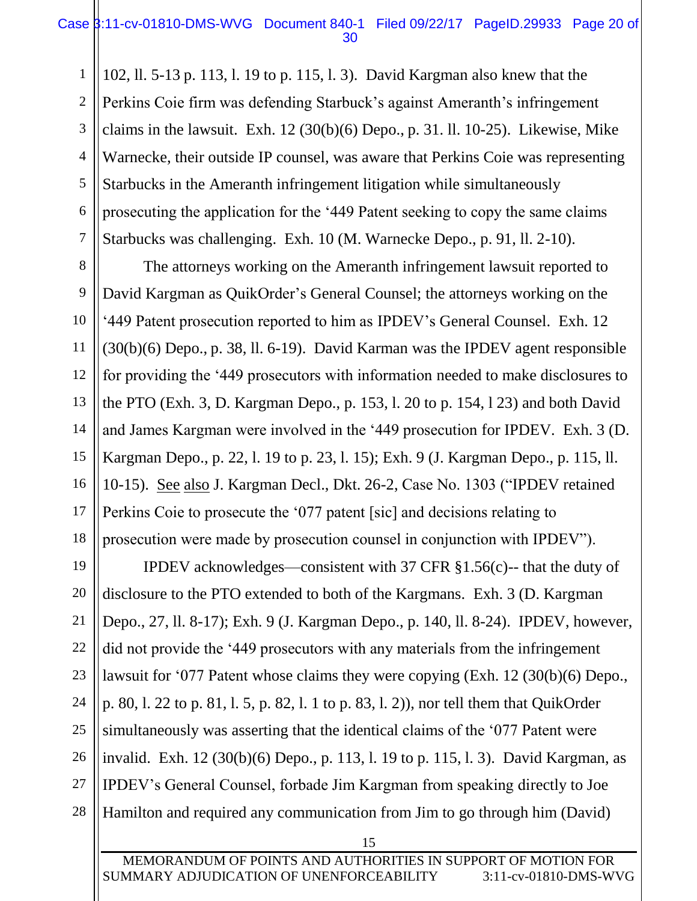1 2 3 4 5 6 7 102, ll. 5-13 p. 113, l. 19 to p. 115, l. 3). David Kargman also knew that the Perkins Coie firm was defending Starbuck's against Ameranth's infringement claims in the lawsuit. Exh.  $12(30(b)(6)$  Depo., p. 31. ll. 10-25). Likewise, Mike Warnecke, their outside IP counsel, was aware that Perkins Coie was representing Starbucks in the Ameranth infringement litigation while simultaneously prosecuting the application for the '449 Patent seeking to copy the same claims Starbucks was challenging. Exh. 10 (M. Warnecke Depo., p. 91, ll. 2-10).

8

9

10

11

12

13

14

15

16

17

18

19

20

21

22

23

24

25

26

27

28

The attorneys working on the Ameranth infringement lawsuit reported to David Kargman as QuikOrder's General Counsel; the attorneys working on the '449 Patent prosecution reported to him as IPDEV's General Counsel. Exh. 12 (30(b)(6) Depo., p. 38, ll. 6-19). David Karman was the IPDEV agent responsible for providing the '449 prosecutors with information needed to make disclosures to the PTO (Exh. 3, D. Kargman Depo., p. 153, l. 20 to p. 154, l 23) and both David and James Kargman were involved in the '449 prosecution for IPDEV. Exh. 3 (D. Kargman Depo., p. 22, l. 19 to p. 23, l. 15); Exh. 9 (J. Kargman Depo., p. 115, ll. 10-15). See also J. Kargman Decl., Dkt. 26-2, Case No. 1303 ("IPDEV retained Perkins Coie to prosecute the '077 patent [sic] and decisions relating to prosecution were made by prosecution counsel in conjunction with IPDEV").

IPDEV acknowledges—consistent with 37 CFR  $\S1.56(c)$ -- that the duty of disclosure to the PTO extended to both of the Kargmans. Exh. 3 (D. Kargman Depo., 27, ll. 8-17); Exh. 9 (J. Kargman Depo., p. 140, ll. 8-24). IPDEV, however, did not provide the '449 prosecutors with any materials from the infringement lawsuit for '077 Patent whose claims they were copying (Exh. 12 (30(b)(6) Depo., p. 80, l. 22 to p. 81, l. 5, p. 82, l. 1 to p. 83, l. 2)), nor tell them that QuikOrder simultaneously was asserting that the identical claims of the '077 Patent were invalid. Exh. 12 (30(b)(6) Depo., p. 113, l. 19 to p. 115, l. 3). David Kargman, as IPDEV's General Counsel, forbade Jim Kargman from speaking directly to Joe Hamilton and required any communication from Jim to go through him (David)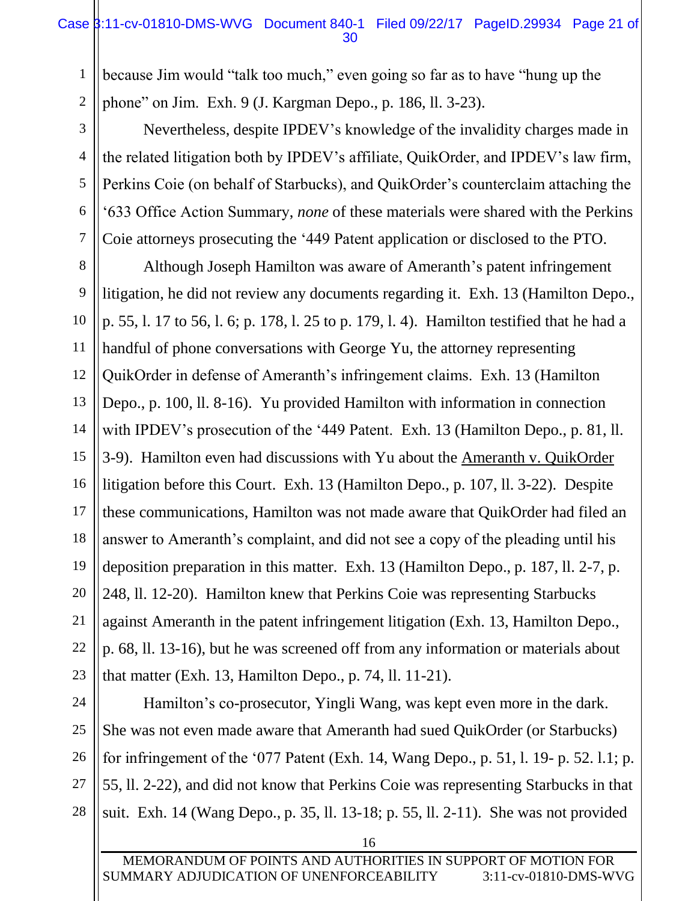because Jim would "talk too much," even going so far as to have "hung up the phone" on Jim. Exh. 9 (J. Kargman Depo., p. 186, ll. 3-23).

Nevertheless, despite IPDEV's knowledge of the invalidity charges made in the related litigation both by IPDEV's affiliate, QuikOrder, and IPDEV's law firm, Perkins Coie (on behalf of Starbucks), and QuikOrder's counterclaim attaching the '633 Office Action Summary, *none* of these materials were shared with the Perkins Coie attorneys prosecuting the '449 Patent application or disclosed to the PTO.

8 12 13 14 15 16 18 19 20 Although Joseph Hamilton was aware of Ameranth's patent infringement litigation, he did not review any documents regarding it. Exh. 13 (Hamilton Depo., p. 55, l. 17 to 56, l. 6; p. 178, l. 25 to p. 179, l. 4). Hamilton testified that he had a handful of phone conversations with George Yu, the attorney representing QuikOrder in defense of Ameranth's infringement claims. Exh. 13 (Hamilton Depo., p. 100, ll. 8-16). Yu provided Hamilton with information in connection with IPDEV's prosecution of the '449 Patent. Exh. 13 (Hamilton Depo., p. 81, ll. 3-9). Hamilton even had discussions with Yu about the Ameranth v. QuikOrder litigation before this Court. Exh. 13 (Hamilton Depo., p. 107, ll. 3-22). Despite these communications, Hamilton was not made aware that QuikOrder had filed an answer to Ameranth's complaint, and did not see a copy of the pleading until his deposition preparation in this matter. Exh. 13 (Hamilton Depo., p. 187, ll. 2-7, p. 248, ll. 12-20). Hamilton knew that Perkins Coie was representing Starbucks against Ameranth in the patent infringement litigation (Exh. 13, Hamilton Depo., p. 68, ll. 13-16), but he was screened off from any information or materials about that matter (Exh. 13, Hamilton Depo., p. 74, ll. 11-21).

1

2

3

4

5

6

7

9

10

11

17

21

Hamilton's co-prosecutor, Yingli Wang, was kept even more in the dark. She was not even made aware that Ameranth had sued QuikOrder (or Starbucks) for infringement of the '077 Patent (Exh. 14, Wang Depo., p. 51, l. 19- p. 52. l.1; p. 55, ll. 2-22), and did not know that Perkins Coie was representing Starbucks in that suit. Exh. 14 (Wang Depo., p. 35, ll. 13-18; p. 55, ll. 2-11). She was not provided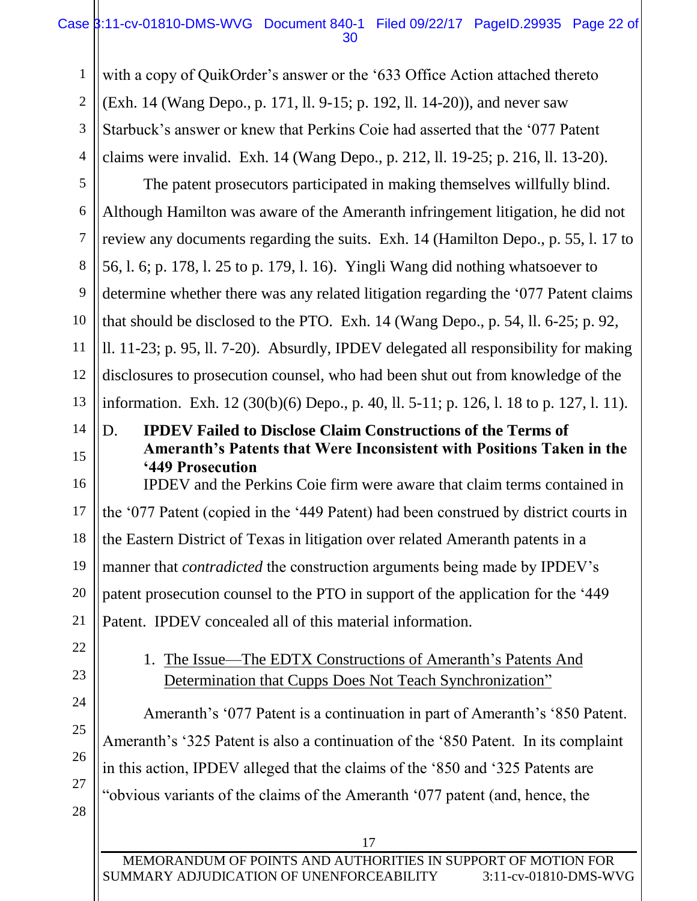## Case 3:11-cv-01810-DMS-WVG Document 840-1 Filed 09/22/17 PageID.29935 Page 22 of 30

1 2 3 4 with a copy of QuikOrder's answer or the '633 Office Action attached thereto (Exh. 14 (Wang Depo., p. 171, ll. 9-15; p. 192, ll. 14-20)), and never saw Starbuck's answer or knew that Perkins Coie had asserted that the '077 Patent claims were invalid. Exh. 14 (Wang Depo., p. 212, ll. 19-25; p. 216, ll. 13-20).

5 6 7 8 9 10 11 12 13 The patent prosecutors participated in making themselves willfully blind. Although Hamilton was aware of the Ameranth infringement litigation, he did not review any documents regarding the suits. Exh. 14 (Hamilton Depo., p. 55, l. 17 to 56, l. 6; p. 178, l. 25 to p. 179, l. 16). Yingli Wang did nothing whatsoever to determine whether there was any related litigation regarding the '077 Patent claims that should be disclosed to the PTO. Exh. 14 (Wang Depo., p. 54, ll. 6-25; p. 92, ll. 11-23; p. 95, ll. 7-20). Absurdly, IPDEV delegated all responsibility for making disclosures to prosecution counsel, who had been shut out from knowledge of the information. Exh. 12 (30(b)(6) Depo., p. 40, ll. 5-11; p. 126, l. 18 to p. 127, l. 11).

14 15

D. **IPDEV Failed to Disclose Claim Constructions of the Terms of Ameranth's Patents that Were Inconsistent with Positions Taken in the '449 Prosecution**

16 17 18 19 20 21 IPDEV and the Perkins Coie firm were aware that claim terms contained in the '077 Patent (copied in the '449 Patent) had been construed by district courts in the Eastern District of Texas in litigation over related Ameranth patents in a manner that *contradicted* the construction arguments being made by IPDEV's patent prosecution counsel to the PTO in support of the application for the '449 Patent. IPDEV concealed all of this material information.

22

23

24

25

26

27

28

1. The Issue—The EDTX Constructions of Ameranth's Patents And Determination that Cupps Does Not Teach Synchronization"

Ameranth's '077 Patent is a continuation in part of Ameranth's '850 Patent. Ameranth's '325 Patent is also a continuation of the '850 Patent. In its complaint in this action, IPDEV alleged that the claims of the '850 and '325 Patents are "obvious variants of the claims of the Ameranth '077 patent (and, hence, the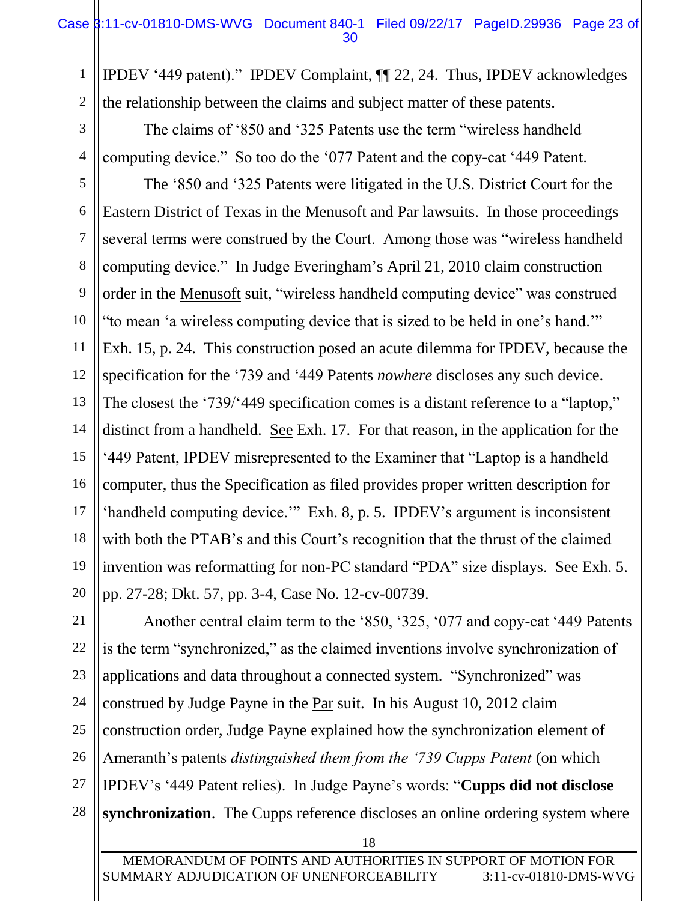1 2 IPDEV '449 patent)." IPDEV Complaint, ¶¶ 22, 24. Thus, IPDEV acknowledges the relationship between the claims and subject matter of these patents.

The claims of '850 and '325 Patents use the term "wireless handheld computing device." So too do the '077 Patent and the copy-cat '449 Patent.

3

4

5 6 7 8 9 10 11 12 13 14 15 16 17 18 19 20 The '850 and '325 Patents were litigated in the U.S. District Court for the Eastern District of Texas in the Menusoft and Par lawsuits. In those proceedings several terms were construed by the Court. Among those was "wireless handheld computing device." In Judge Everingham's April 21, 2010 claim construction order in the Menusoft suit, "wireless handheld computing device" was construed "to mean 'a wireless computing device that is sized to be held in one's hand.'" Exh. 15, p. 24. This construction posed an acute dilemma for IPDEV, because the specification for the '739 and '449 Patents *nowhere* discloses any such device. The closest the '739/'449 specification comes is a distant reference to a "laptop," distinct from a handheld. See Exh. 17. For that reason, in the application for the '449 Patent, IPDEV misrepresented to the Examiner that "Laptop is a handheld computer, thus the Specification as filed provides proper written description for 'handheld computing device.'" Exh. 8, p. 5. IPDEV's argument is inconsistent with both the PTAB's and this Court's recognition that the thrust of the claimed invention was reformatting for non-PC standard "PDA" size displays. See Exh. 5. pp. 27-28; Dkt. 57, pp. 3-4, Case No. 12-cv-00739.

21 22 23 24 25 26 27 28 Another central claim term to the '850, '325, '077 and copy-cat '449 Patents is the term "synchronized," as the claimed inventions involve synchronization of applications and data throughout a connected system. "Synchronized" was construed by Judge Payne in the Par suit. In his August 10, 2012 claim construction order, Judge Payne explained how the synchronization element of Ameranth's patents *distinguished them from the '739 Cupps Patent* (on which IPDEV's '449 Patent relies). In Judge Payne's words: "**Cupps did not disclose synchronization.** The Cupps reference discloses an online ordering system where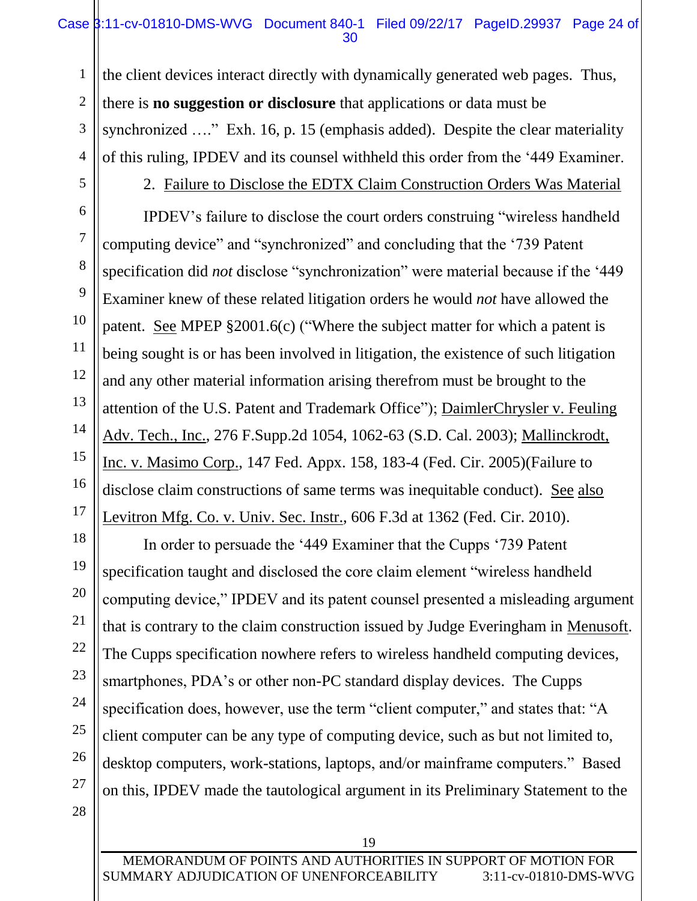## Case  $\frac{1}{3}$ :11-cv-01810-DMS-WVG Document 840-1 Filed 09/22/17 PageID.29937 Page 24 of 30

the client devices interact directly with dynamically generated web pages. Thus, there is **no suggestion or disclosure** that applications or data must be synchronized ...." Exh. 16, p. 15 (emphasis added). Despite the clear materiality of this ruling, IPDEV and its counsel withheld this order from the '449 Examiner.

1

2

3

4

5

6

7

8

9

10

11

12

13

14

15

16

17

18

19

20

21

22

23

24

25

26

27

# 2. Failure to Disclose the EDTX Claim Construction Orders Was Material

IPDEV's failure to disclose the court orders construing "wireless handheld computing device" and "synchronized" and concluding that the '739 Patent specification did *not* disclose "synchronization" were material because if the '449 Examiner knew of these related litigation orders he would *not* have allowed the patent. See MPEP §2001.6(c) ("Where the subject matter for which a patent is being sought is or has been involved in litigation, the existence of such litigation and any other material information arising therefrom must be brought to the attention of the U.S. Patent and Trademark Office"); DaimlerChrysler v. Feuling Adv. Tech., Inc., 276 F.Supp.2d 1054, 1062-63 (S.D. Cal. 2003); Mallinckrodt, Inc. v. Masimo Corp., 147 Fed. Appx. 158, 183-4 (Fed. Cir. 2005)(Failure to disclose claim constructions of same terms was inequitable conduct). See also Levitron Mfg. Co. v. Univ. Sec. Instr., 606 F.3d at 1362 (Fed. Cir. 2010).

In order to persuade the '449 Examiner that the Cupps '739 Patent specification taught and disclosed the core claim element "wireless handheld computing device," IPDEV and its patent counsel presented a misleading argument that is contrary to the claim construction issued by Judge Everingham in Menusoft. The Cupps specification nowhere refers to wireless handheld computing devices, smartphones, PDA's or other non-PC standard display devices. The Cupps specification does, however, use the term "client computer," and states that: "A client computer can be any type of computing device, such as but not limited to, desktop computers, work-stations, laptops, and/or mainframe computers." Based on this, IPDEV made the tautological argument in its Preliminary Statement to the

28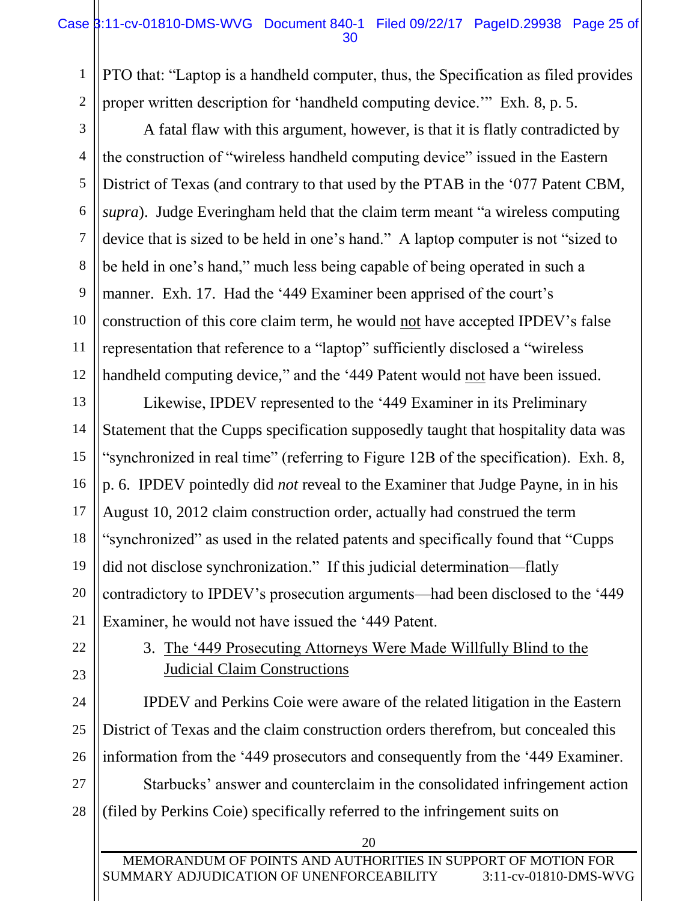PTO that: "Laptop is a handheld computer, thus, the Specification as filed provides proper written description for 'handheld computing device.'" Exh. 8, p. 5.

A fatal flaw with this argument, however, is that it is flatly contradicted by the construction of "wireless handheld computing device" issued in the Eastern District of Texas (and contrary to that used by the PTAB in the '077 Patent CBM, *supra*). Judge Everingham held that the claim term meant "a wireless computing device that is sized to be held in one's hand." A laptop computer is not "sized to be held in one's hand," much less being capable of being operated in such a manner. Exh. 17. Had the '449 Examiner been apprised of the court's construction of this core claim term, he would not have accepted IPDEV's false representation that reference to a "laptop" sufficiently disclosed a "wireless handheld computing device," and the '449 Patent would not have been issued.

13 14 15 16 17 18 19 20 21 Likewise, IPDEV represented to the '449 Examiner in its Preliminary Statement that the Cupps specification supposedly taught that hospitality data was "synchronized in real time" (referring to Figure 12B of the specification). Exh. 8, p. 6. IPDEV pointedly did *not* reveal to the Examiner that Judge Payne, in in his August 10, 2012 claim construction order, actually had construed the term "synchronized" as used in the related patents and specifically found that "Cupps did not disclose synchronization." If this judicial determination—flatly contradictory to IPDEV's prosecution arguments—had been disclosed to the '449 Examiner, he would not have issued the '449 Patent.

22 23

24

25

26

1

2

3

4

5

6

7

8

9

10

11

12

3. The '449 Prosecuting Attorneys Were Made Willfully Blind to the Judicial Claim Constructions

IPDEV and Perkins Coie were aware of the related litigation in the Eastern District of Texas and the claim construction orders therefrom, but concealed this information from the '449 prosecutors and consequently from the '449 Examiner.

27 28 Starbucks' answer and counterclaim in the consolidated infringement action (filed by Perkins Coie) specifically referred to the infringement suits on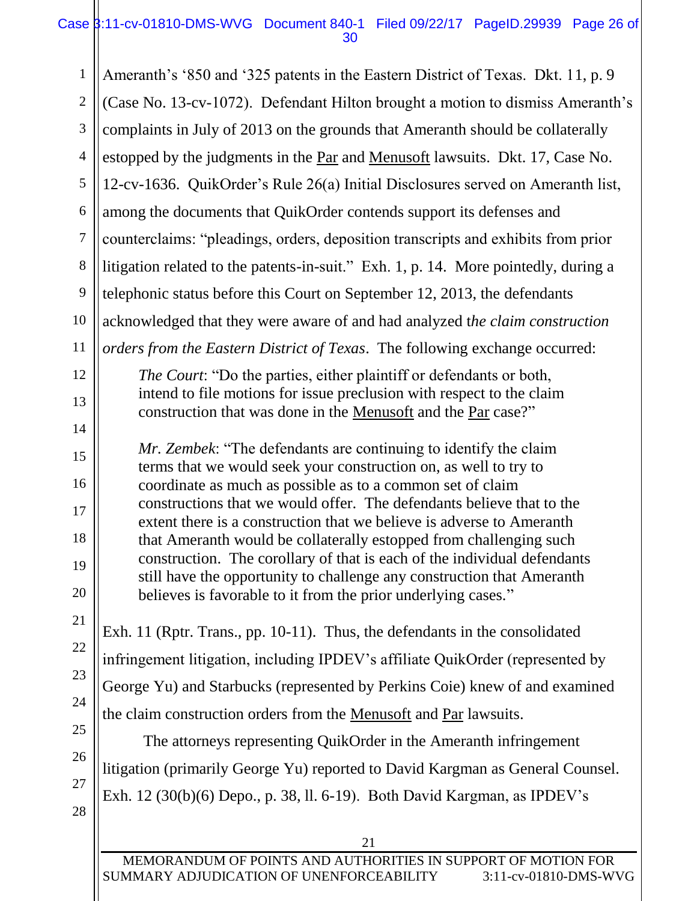## Case 3:11-cv-01810-DMS-WVG Document 840-1 Filed 09/22/17 PageID.29939 Page 26 of 30

1 2 3 4 5 6 7 8 9 10 11 12 13 14 15 16 17 18 19 20 21 22 23 24 25 26 27 Ameranth's '850 and '325 patents in the Eastern District of Texas. Dkt. 11, p. 9 (Case No. 13-cv-1072). Defendant Hilton brought a motion to dismiss Ameranth's complaints in July of 2013 on the grounds that Ameranth should be collaterally estopped by the judgments in the Par and Menusoft lawsuits. Dkt. 17, Case No. 12-cv-1636. QuikOrder's Rule 26(a) Initial Disclosures served on Ameranth list, among the documents that QuikOrder contends support its defenses and counterclaims: "pleadings, orders, deposition transcripts and exhibits from prior litigation related to the patents-in-suit." Exh. 1, p. 14. More pointedly, during a telephonic status before this Court on September 12, 2013, the defendants acknowledged that they were aware of and had analyzed t*he claim construction orders from the Eastern District of Texas*. The following exchange occurred: *The Court*: "Do the parties, either plaintiff or defendants or both, intend to file motions for issue preclusion with respect to the claim construction that was done in the Menusoft and the Par case?" *Mr. Zembek*: "The defendants are continuing to identify the claim terms that we would seek your construction on, as well to try to coordinate as much as possible as to a common set of claim constructions that we would offer. The defendants believe that to the extent there is a construction that we believe is adverse to Ameranth that Ameranth would be collaterally estopped from challenging such construction. The corollary of that is each of the individual defendants still have the opportunity to challenge any construction that Ameranth believes is favorable to it from the prior underlying cases." Exh. 11 (Rptr. Trans., pp. 10-11). Thus, the defendants in the consolidated infringement litigation, including IPDEV's affiliate QuikOrder (represented by George Yu) and Starbucks (represented by Perkins Coie) knew of and examined the claim construction orders from the Menusoft and Par lawsuits. The attorneys representing QuikOrder in the Ameranth infringement litigation (primarily George Yu) reported to David Kargman as General Counsel.

Exh. 12 (30(b)(6) Depo., p. 38, ll. 6-19). Both David Kargman, as IPDEV's

28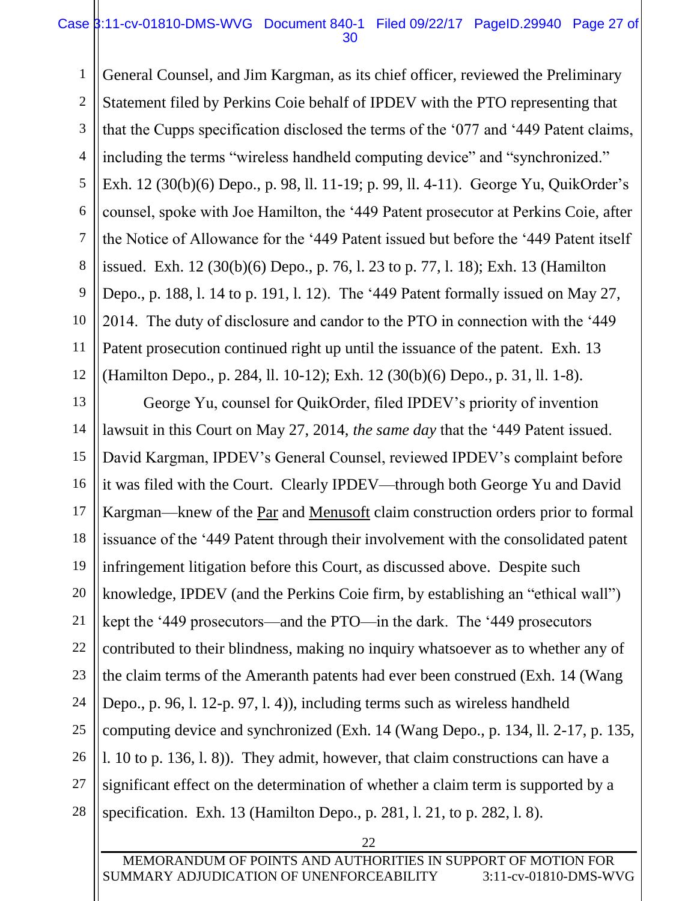### Case 3:11-cv-01810-DMS-WVG Document 840-1 Filed 09/22/17 PageID.29940 Page 27 of 30

1 2 3 4 5 6 7 8 9 10 11 12 General Counsel, and Jim Kargman, as its chief officer, reviewed the Preliminary Statement filed by Perkins Coie behalf of IPDEV with the PTO representing that that the Cupps specification disclosed the terms of the '077 and '449 Patent claims, including the terms "wireless handheld computing device" and "synchronized." Exh. 12 (30(b)(6) Depo., p. 98, ll. 11-19; p. 99, ll. 4-11). George Yu, QuikOrder's counsel, spoke with Joe Hamilton, the '449 Patent prosecutor at Perkins Coie, after the Notice of Allowance for the '449 Patent issued but before the '449 Patent itself issued. Exh. 12 (30(b)(6) Depo., p. 76, l. 23 to p. 77, l. 18); Exh. 13 (Hamilton Depo., p. 188, l. 14 to p. 191, l. 12). The '449 Patent formally issued on May 27, 2014. The duty of disclosure and candor to the PTO in connection with the '449 Patent prosecution continued right up until the issuance of the patent. Exh. 13 (Hamilton Depo., p. 284, ll. 10-12); Exh. 12 (30(b)(6) Depo., p. 31, ll. 1-8).

13 14 15 16 17 18 19 20 21 22 23 24 25 26 27 28 George Yu, counsel for QuikOrder, filed IPDEV's priority of invention lawsuit in this Court on May 27, 2014, *the same day* that the '449 Patent issued. David Kargman, IPDEV's General Counsel, reviewed IPDEV's complaint before it was filed with the Court. Clearly IPDEV—through both George Yu and David Kargman—knew of the Par and Menusoft claim construction orders prior to formal issuance of the '449 Patent through their involvement with the consolidated patent infringement litigation before this Court, as discussed above. Despite such knowledge, IPDEV (and the Perkins Coie firm, by establishing an "ethical wall") kept the '449 prosecutors—and the PTO—in the dark. The '449 prosecutors contributed to their blindness, making no inquiry whatsoever as to whether any of the claim terms of the Ameranth patents had ever been construed (Exh. 14 (Wang Depo., p. 96, l. 12-p. 97, l. 4)), including terms such as wireless handheld computing device and synchronized (Exh. 14 (Wang Depo., p. 134, ll. 2-17, p. 135, l. 10 to p. 136, l. 8)). They admit, however, that claim constructions can have a significant effect on the determination of whether a claim term is supported by a specification. Exh. 13 (Hamilton Depo., p. 281, l. 21, to p. 282, l. 8).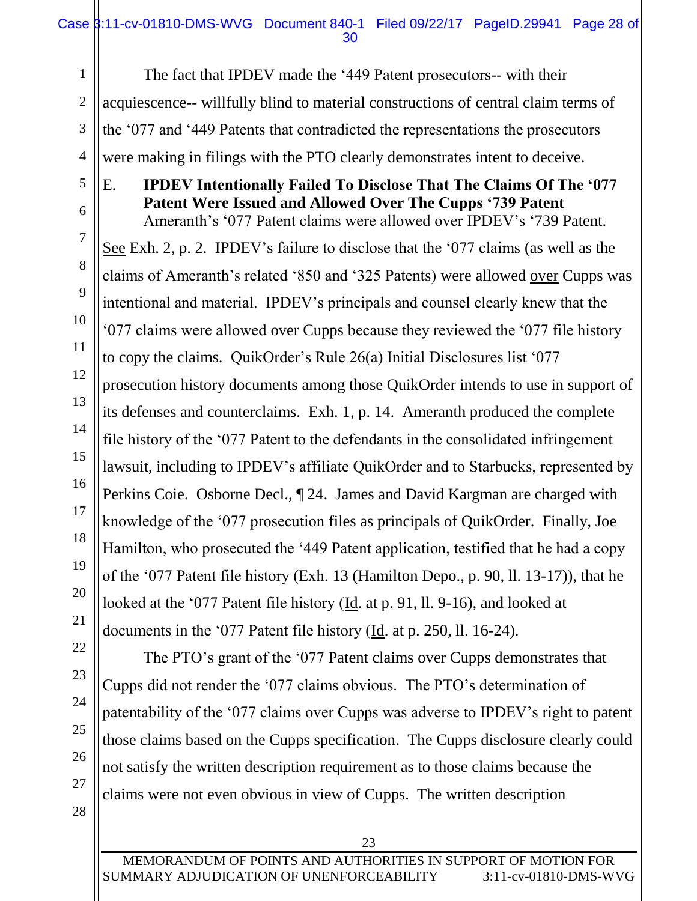The fact that IPDEV made the '449 Patent prosecutors-- with their acquiescence-- willfully blind to material constructions of central claim terms of the '077 and '449 Patents that contradicted the representations the prosecutors were making in filings with the PTO clearly demonstrates intent to deceive.

E. **IPDEV Intentionally Failed To Disclose That The Claims Of The '077 Patent Were Issued and Allowed Over The Cupps '739 Patent**  Ameranth's '077 Patent claims were allowed over IPDEV's '739 Patent.

See Exh. 2, p. 2. IPDEV's failure to disclose that the '077 claims (as well as the claims of Ameranth's related '850 and '325 Patents) were allowed over Cupps was intentional and material. IPDEV's principals and counsel clearly knew that the '077 claims were allowed over Cupps because they reviewed the '077 file history to copy the claims. QuikOrder's Rule 26(a) Initial Disclosures list '077 prosecution history documents among those QuikOrder intends to use in support of its defenses and counterclaims. Exh. 1, p. 14. Ameranth produced the complete file history of the '077 Patent to the defendants in the consolidated infringement lawsuit, including to IPDEV's affiliate QuikOrder and to Starbucks, represented by Perkins Coie. Osborne Decl., ¶ 24. James and David Kargman are charged with knowledge of the '077 prosecution files as principals of QuikOrder. Finally, Joe Hamilton, who prosecuted the '449 Patent application, testified that he had a copy of the '077 Patent file history (Exh. 13 (Hamilton Depo., p. 90, ll. 13-17)), that he looked at the '077 Patent file history (Id. at p. 91, ll. 9-16), and looked at documents in the '077 Patent file history (Id. at p. 250, ll. 16-24).

The PTO's grant of the '077 Patent claims over Cupps demonstrates that Cupps did not render the '077 claims obvious. The PTO's determination of patentability of the '077 claims over Cupps was adverse to IPDEV's right to patent those claims based on the Cupps specification. The Cupps disclosure clearly could not satisfy the written description requirement as to those claims because the claims were not even obvious in view of Cupps. The written description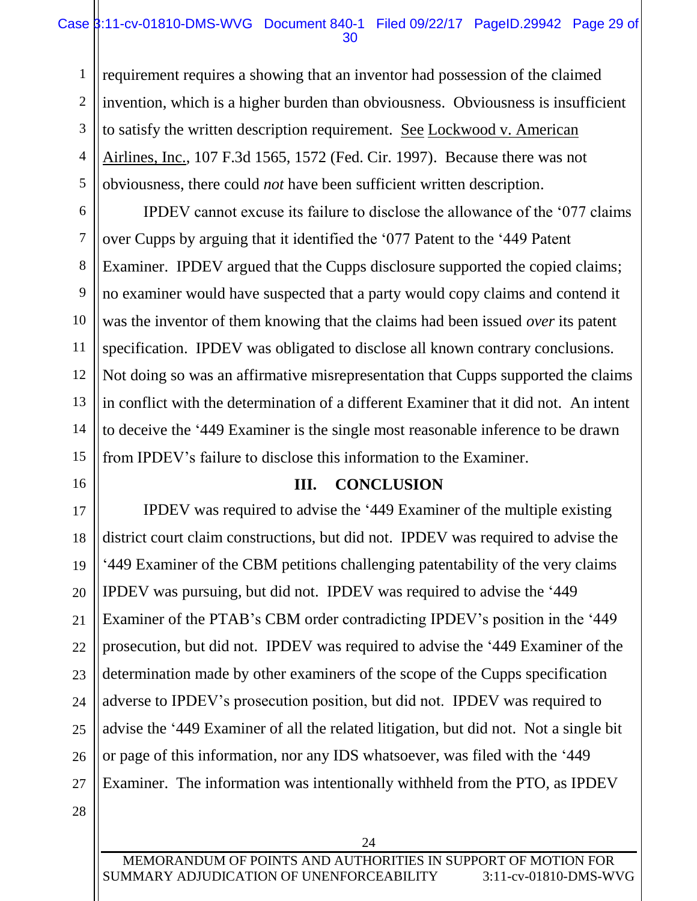## Case 3:11-cv-01810-DMS-WVG Document 840-1 Filed 09/22/17 PageID.29942 Page 29 of 30

requirement requires a showing that an inventor had possession of the claimed invention, which is a higher burden than obviousness. Obviousness is insufficient to satisfy the written description requirement. See Lockwood v. American Airlines, Inc., 107 F.3d 1565, 1572 (Fed. Cir. 1997). Because there was not obviousness, there could *not* have been sufficient written description.

IPDEV cannot excuse its failure to disclose the allowance of the '077 claims over Cupps by arguing that it identified the '077 Patent to the '449 Patent Examiner. IPDEV argued that the Cupps disclosure supported the copied claims; no examiner would have suspected that a party would copy claims and contend it was the inventor of them knowing that the claims had been issued *over* its patent specification. IPDEV was obligated to disclose all known contrary conclusions. Not doing so was an affirmative misrepresentation that Cupps supported the claims in conflict with the determination of a different Examiner that it did not. An intent to deceive the '449 Examiner is the single most reasonable inference to be drawn from IPDEV's failure to disclose this information to the Examiner.

### **III. CONCLUSION**

17 18 19 20 21 22 23 24 25 26 27 IPDEV was required to advise the '449 Examiner of the multiple existing district court claim constructions, but did not. IPDEV was required to advise the '449 Examiner of the CBM petitions challenging patentability of the very claims IPDEV was pursuing, but did not. IPDEV was required to advise the '449 Examiner of the PTAB's CBM order contradicting IPDEV's position in the '449 prosecution, but did not. IPDEV was required to advise the '449 Examiner of the determination made by other examiners of the scope of the Cupps specification adverse to IPDEV's prosecution position, but did not. IPDEV was required to advise the '449 Examiner of all the related litigation, but did not. Not a single bit or page of this information, nor any IDS whatsoever, was filed with the '449 Examiner. The information was intentionally withheld from the PTO, as IPDEV

28

1

2

3

4

5

6

7

8

9

10

11

12

13

14

15

16